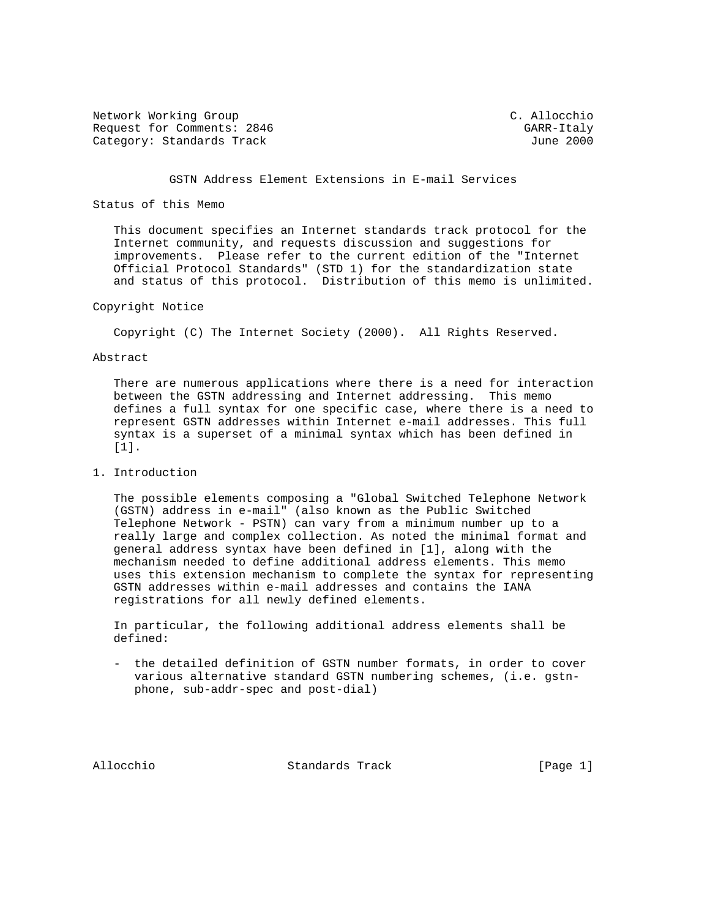Network Working Group C. Allocchio Request for Comments: 2846 GARR-Italy Category: Standards Track June 2000

## GSTN Address Element Extensions in E-mail Services

## Status of this Memo

 This document specifies an Internet standards track protocol for the Internet community, and requests discussion and suggestions for improvements. Please refer to the current edition of the "Internet Official Protocol Standards" (STD 1) for the standardization state and status of this protocol. Distribution of this memo is unlimited.

## Copyright Notice

Copyright (C) The Internet Society (2000). All Rights Reserved.

#### Abstract

 There are numerous applications where there is a need for interaction between the GSTN addressing and Internet addressing. This memo defines a full syntax for one specific case, where there is a need to represent GSTN addresses within Internet e-mail addresses. This full syntax is a superset of a minimal syntax which has been defined in [1].

## 1. Introduction

 The possible elements composing a "Global Switched Telephone Network (GSTN) address in e-mail" (also known as the Public Switched Telephone Network - PSTN) can vary from a minimum number up to a really large and complex collection. As noted the minimal format and general address syntax have been defined in [1], along with the mechanism needed to define additional address elements. This memo uses this extension mechanism to complete the syntax for representing GSTN addresses within e-mail addresses and contains the IANA registrations for all newly defined elements.

 In particular, the following additional address elements shall be defined:

 - the detailed definition of GSTN number formats, in order to cover various alternative standard GSTN numbering schemes, (i.e. gstn phone, sub-addr-spec and post-dial)

Allocchio Standards Track [Page 1]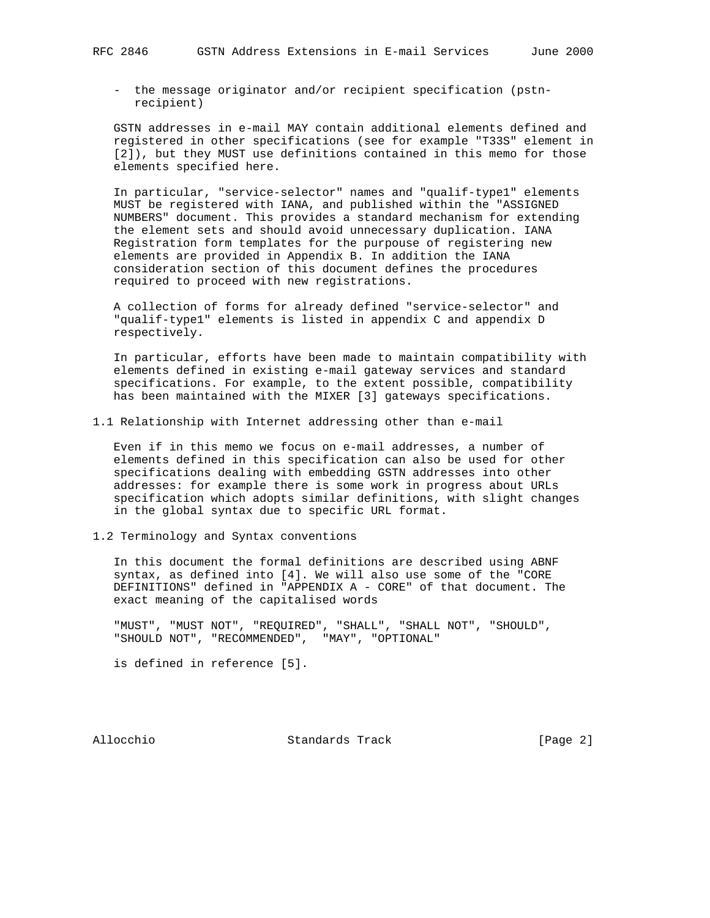- the message originator and/or recipient specification (pstn recipient)

 GSTN addresses in e-mail MAY contain additional elements defined and registered in other specifications (see for example "T33S" element in [2]), but they MUST use definitions contained in this memo for those elements specified here.

 In particular, "service-selector" names and "qualif-type1" elements MUST be registered with IANA, and published within the "ASSIGNED NUMBERS" document. This provides a standard mechanism for extending the element sets and should avoid unnecessary duplication. IANA Registration form templates for the purpouse of registering new elements are provided in Appendix B. In addition the IANA consideration section of this document defines the procedures required to proceed with new registrations.

 A collection of forms for already defined "service-selector" and "qualif-type1" elements is listed in appendix C and appendix D respectively.

 In particular, efforts have been made to maintain compatibility with elements defined in existing e-mail gateway services and standard specifications. For example, to the extent possible, compatibility has been maintained with the MIXER [3] gateways specifications.

1.1 Relationship with Internet addressing other than e-mail

 Even if in this memo we focus on e-mail addresses, a number of elements defined in this specification can also be used for other specifications dealing with embedding GSTN addresses into other addresses: for example there is some work in progress about URLs specification which adopts similar definitions, with slight changes in the global syntax due to specific URL format.

1.2 Terminology and Syntax conventions

 In this document the formal definitions are described using ABNF syntax, as defined into [4]. We will also use some of the "CORE DEFINITIONS" defined in "APPENDIX A - CORE" of that document. The exact meaning of the capitalised words

 "MUST", "MUST NOT", "REQUIRED", "SHALL", "SHALL NOT", "SHOULD", "SHOULD NOT", "RECOMMENDED", "MAY", "OPTIONAL"

is defined in reference [5].

Allocchio Standards Track [Page 2]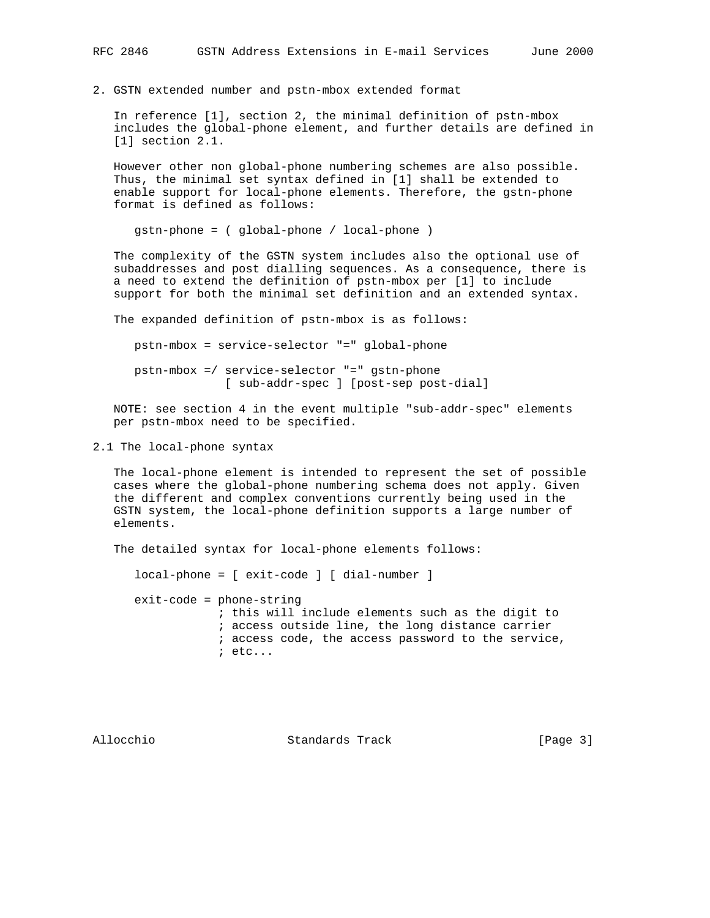2. GSTN extended number and pstn-mbox extended format

 In reference [1], section 2, the minimal definition of pstn-mbox includes the global-phone element, and further details are defined in [1] section 2.1.

 However other non global-phone numbering schemes are also possible. Thus, the minimal set syntax defined in [1] shall be extended to enable support for local-phone elements. Therefore, the gstn-phone format is defined as follows:

gstn-phone = ( global-phone / local-phone )

 The complexity of the GSTN system includes also the optional use of subaddresses and post dialling sequences. As a consequence, there is a need to extend the definition of pstn-mbox per [1] to include support for both the minimal set definition and an extended syntax.

The expanded definition of pstn-mbox is as follows:

pstn-mbox = service-selector "=" global-phone

 pstn-mbox =/ service-selector "=" gstn-phone [ sub-addr-spec ] [post-sep post-dial]

 NOTE: see section 4 in the event multiple "sub-addr-spec" elements per pstn-mbox need to be specified.

2.1 The local-phone syntax

 The local-phone element is intended to represent the set of possible cases where the global-phone numbering schema does not apply. Given the different and complex conventions currently being used in the GSTN system, the local-phone definition supports a large number of elements.

The detailed syntax for local-phone elements follows:

local-phone = [ exit-code ] [ dial-number ]

 exit-code = phone-string ; this will include elements such as the digit to ; access outside line, the long distance carrier ; access code, the access password to the service, ; etc...

Allocchio Standards Track [Page 3]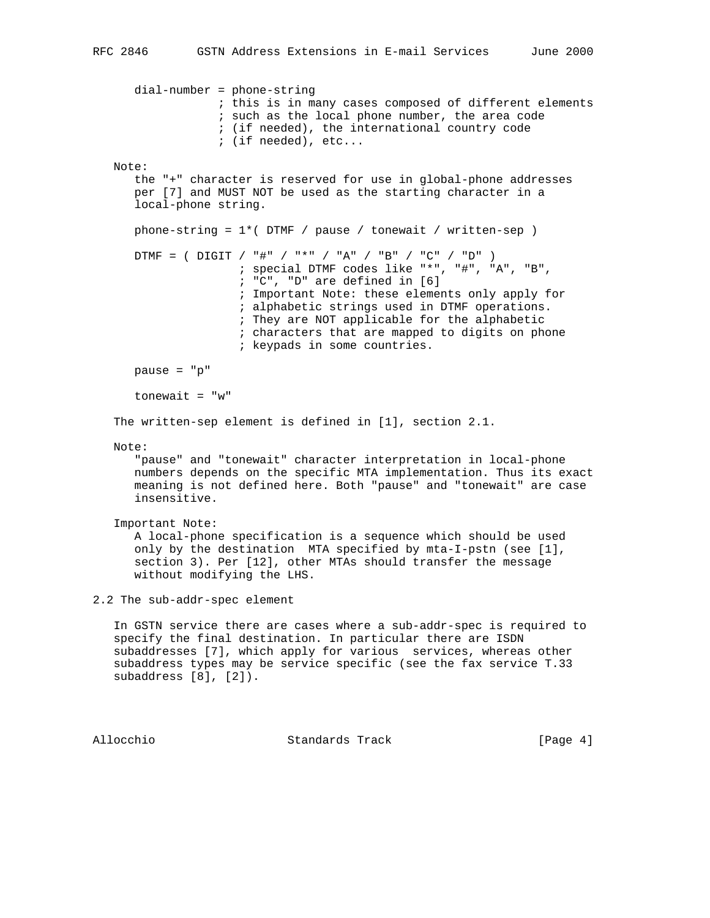```
 dial-number = phone-string
                   ; this is in many cases composed of different elements
                   ; such as the local phone number, the area code
                   ; (if needed), the international country code
                   ; (if needed), etc...
   Note:
      the "+" character is reserved for use in global-phone addresses
      per [7] and MUST NOT be used as the starting character in a
       local-phone string.
      phone-string = 1*( DTMF / pause / tonewait / written-sep )
       DTMF = ( DIGIT / "#" / "*" / "A" / "B" / "C" / "D" )
                      ; special DTMF codes like "*", "#", "A", "B",
                      ; "C", "D" are defined in [6]
                      ; Important Note: these elements only apply for
                      ; alphabetic strings used in DTMF operations.
                      ; They are NOT applicable for the alphabetic
                      ; characters that are mapped to digits on phone
                      ; keypads in some countries.
      pause = "p"
       tonewait = "w"
    The written-sep element is defined in [1], section 2.1.
   Note:
       "pause" and "tonewait" character interpretation in local-phone
      numbers depends on the specific MTA implementation. Thus its exact
      meaning is not defined here. Both "pause" and "tonewait" are case
       insensitive.
    Important Note:
      A local-phone specification is a sequence which should be used
       only by the destination MTA specified by mta-I-pstn (see [1],
       section 3). Per [12], other MTAs should transfer the message
       without modifying the LHS.
2.2 The sub-addr-spec element
    In GSTN service there are cases where a sub-addr-spec is required to
    specify the final destination. In particular there are ISDN
    subaddresses [7], which apply for various services, whereas other
    subaddress types may be service specific (see the fax service T.33
   subaddress [8], [2]).
```
Allocchio Standards Track [Page 4]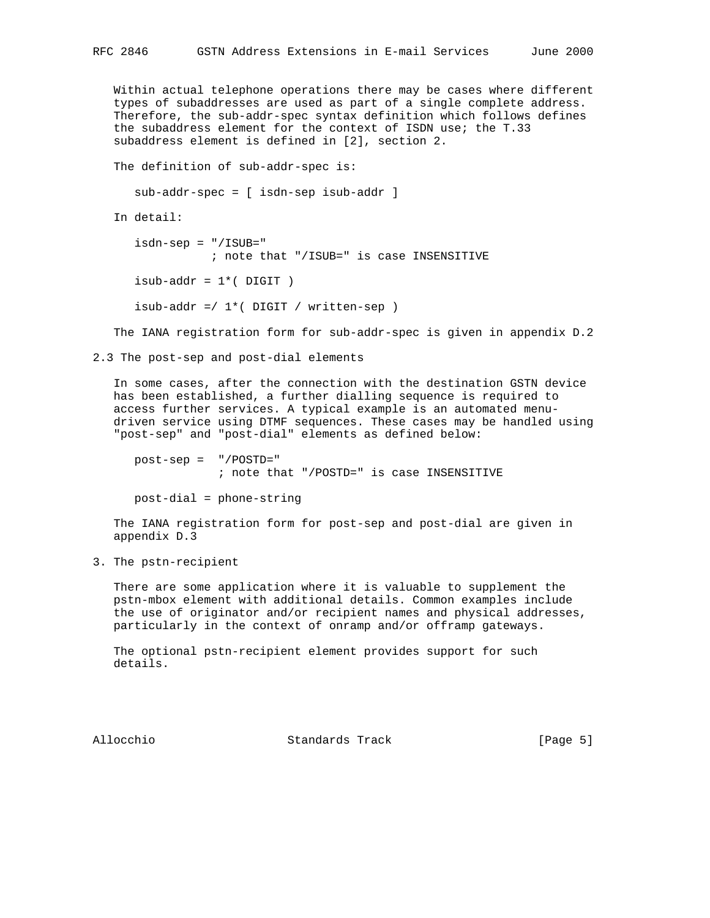Within actual telephone operations there may be cases where different types of subaddresses are used as part of a single complete address. Therefore, the sub-addr-spec syntax definition which follows defines the subaddress element for the context of ISDN use; the T.33 subaddress element is defined in [2], section 2.

The definition of sub-addr-spec is:

sub-addr-spec = [ isdn-sep isub-addr ]

In detail:

```
 isdn-sep = "/ISUB="
           ; note that "/ISUB=" is case INSENSITIVE
isub-addr = 1*(DJGT)isub-addr =/1*( DIGIT / written-sep )
```
The IANA registration form for sub-addr-spec is given in appendix D.2

2.3 The post-sep and post-dial elements

 In some cases, after the connection with the destination GSTN device has been established, a further dialling sequence is required to access further services. A typical example is an automated menu driven service using DTMF sequences. These cases may be handled using "post-sep" and "post-dial" elements as defined below:

 post-sep = "/POSTD=" ; note that "/POSTD=" is case INSENSITIVE

post-dial = phone-string

 The IANA registration form for post-sep and post-dial are given in appendix D.3

3. The pstn-recipient

 There are some application where it is valuable to supplement the pstn-mbox element with additional details. Common examples include the use of originator and/or recipient names and physical addresses, particularly in the context of onramp and/or offramp gateways.

 The optional pstn-recipient element provides support for such details.

Allocchio Standards Track [Page 5]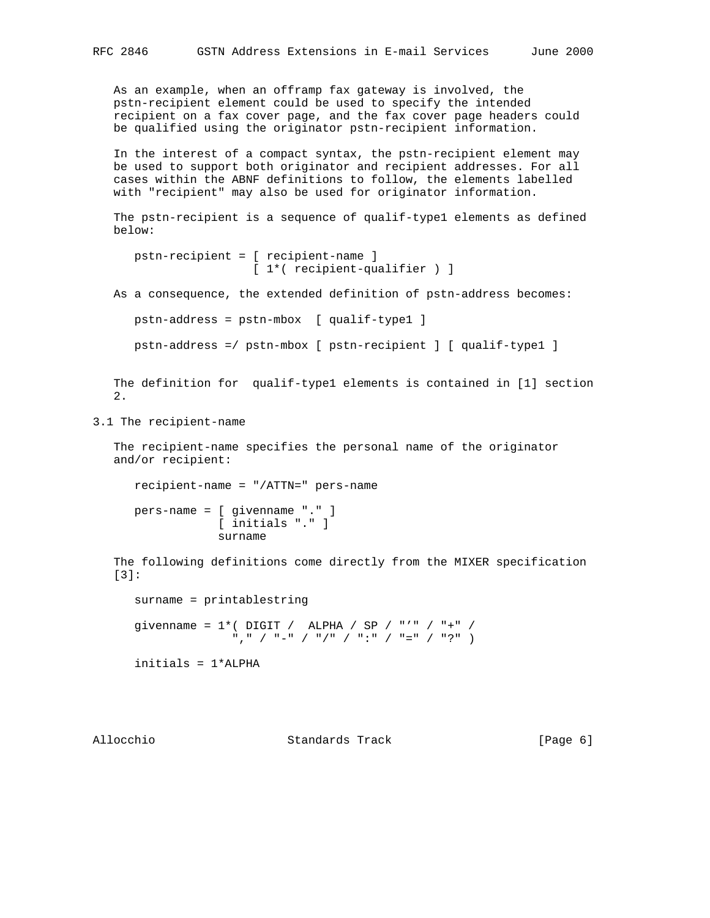As an example, when an offramp fax gateway is involved, the pstn-recipient element could be used to specify the intended recipient on a fax cover page, and the fax cover page headers could be qualified using the originator pstn-recipient information.

 In the interest of a compact syntax, the pstn-recipient element may be used to support both originator and recipient addresses. For all cases within the ABNF definitions to follow, the elements labelled with "recipient" may also be used for originator information.

 The pstn-recipient is a sequence of qualif-type1 elements as defined below:

```
 pstn-recipient = [ recipient-name ]
                  [ 1*( recipient-qualifier ) ]
```
As a consequence, the extended definition of pstn-address becomes:

```
 pstn-address = pstn-mbox [ qualif-type1 ]
```

```
 pstn-address =/ pstn-mbox [ pstn-recipient ] [ qualif-type1 ]
```
 The definition for qualif-type1 elements is contained in [1] section 2.

3.1 The recipient-name

 The recipient-name specifies the personal name of the originator and/or recipient:

 recipient-name = "/ATTN=" pers-name pers-name = [ givenname "." ] [ initials "." ]

surname

 The following definitions come directly from the MIXER specification [3]:

 surname = printablestring givenname =  $1*($  DIGIT / ALPHA / SP / "'" / "+" / "," / "-" / "/" / ":" / "=" / "?" ) initials = 1\*ALPHA

Allocchio Standards Track [Page 6]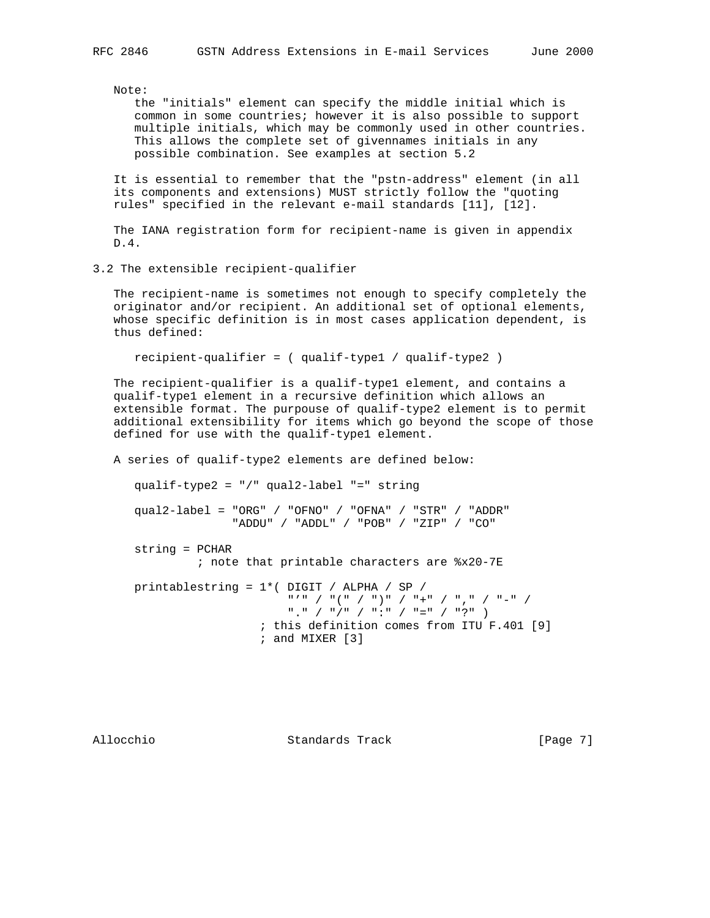Note:

 the "initials" element can specify the middle initial which is common in some countries; however it is also possible to support multiple initials, which may be commonly used in other countries. This allows the complete set of givennames initials in any possible combination. See examples at section 5.2

 It is essential to remember that the "pstn-address" element (in all its components and extensions) MUST strictly follow the "quoting rules" specified in the relevant e-mail standards [11], [12].

 The IANA registration form for recipient-name is given in appendix D.4.

3.2 The extensible recipient-qualifier

 The recipient-name is sometimes not enough to specify completely the originator and/or recipient. An additional set of optional elements, whose specific definition is in most cases application dependent, is thus defined:

recipient-qualifier = ( qualif-type1 / qualif-type2 )

 The recipient-qualifier is a qualif-type1 element, and contains a qualif-type1 element in a recursive definition which allows an extensible format. The purpouse of qualif-type2 element is to permit additional extensibility for items which go beyond the scope of those defined for use with the qualif-type1 element.

A series of qualif-type2 elements are defined below:

qualif-type2 = "/" qual2-label "=" string

 qual2-label = "ORG" / "OFNO" / "OFNA" / "STR" / "ADDR" "ADDU" / "ADDL" / "POB" / "ZIP" / "CO"

string = PCHAR

; note that printable characters are %x20-7E

 printablestring = 1\*( DIGIT / ALPHA / SP / "'" / "(" / ")" / "+" / "," / "-" / "." / "/" / ":" / "=" / "?" ) ; this definition comes from ITU F.401 [9] ; and MIXER [3]

Allocchio Standards Track [Page 7]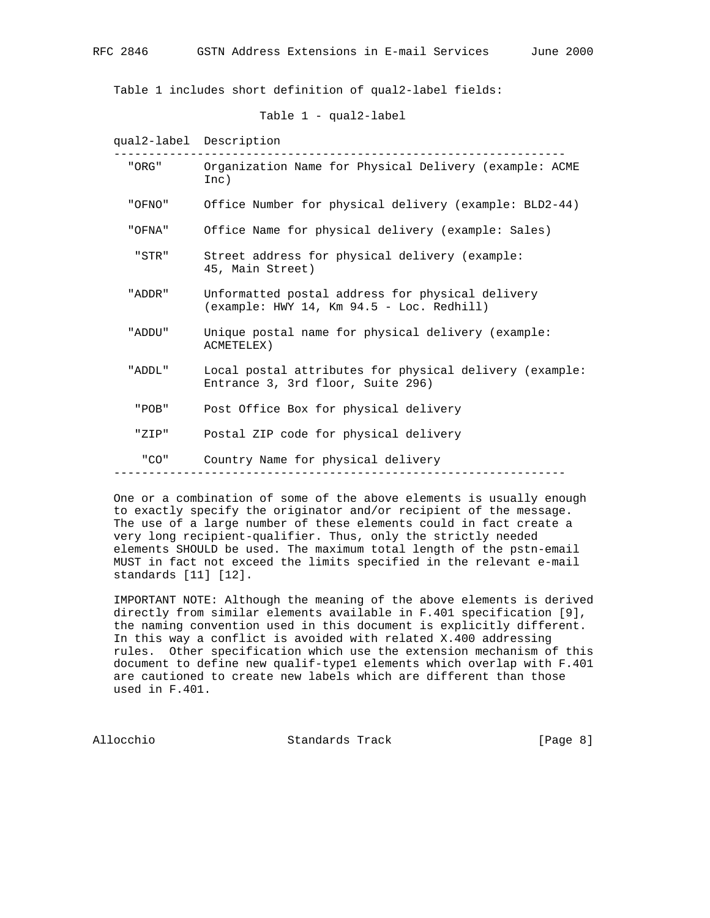Table 1 includes short definition of qual2-label fields:

```
 Table 1 - qual2-label
```
 qual2-label Description ----------------------------------------------------------------- "ORG" Organization Name for Physical Delivery (example: ACME Inc) "OFNO" Office Number for physical delivery (example: BLD2-44) "OFNA" Office Name for physical delivery (example: Sales) "STR" Street address for physical delivery (example: 45, Main Street) "ADDR" Unformatted postal address for physical delivery (example: HWY 14, Km 94.5 - Loc. Redhill) "ADDU" Unique postal name for physical delivery (example: ACMETELEX) "ADDL" Local postal attributes for physical delivery (example: Entrance 3, 3rd floor, Suite 296) "POB" Post Office Box for physical delivery "ZIP" Postal ZIP code for physical delivery "CO" Country Name for physical delivery -----------------------------------------------------------------

 One or a combination of some of the above elements is usually enough to exactly specify the originator and/or recipient of the message. The use of a large number of these elements could in fact create a very long recipient-qualifier. Thus, only the strictly needed elements SHOULD be used. The maximum total length of the pstn-email MUST in fact not exceed the limits specified in the relevant e-mail standards [11] [12].

 IMPORTANT NOTE: Although the meaning of the above elements is derived directly from similar elements available in F.401 specification [9], the naming convention used in this document is explicitly different. In this way a conflict is avoided with related X.400 addressing rules. Other specification which use the extension mechanism of this document to define new qualif-type1 elements which overlap with F.401 are cautioned to create new labels which are different than those used in F.401.

Allocchio Standards Track [Page 8]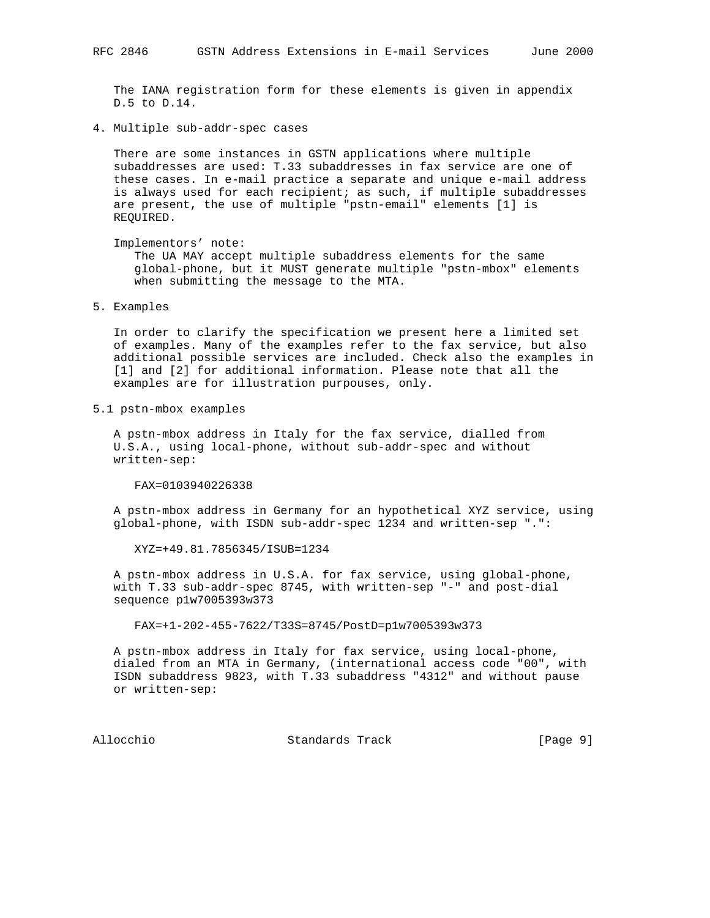The IANA registration form for these elements is given in appendix D.5 to D.14.

4. Multiple sub-addr-spec cases

 There are some instances in GSTN applications where multiple subaddresses are used: T.33 subaddresses in fax service are one of these cases. In e-mail practice a separate and unique e-mail address is always used for each recipient; as such, if multiple subaddresses are present, the use of multiple "pstn-email" elements [1] is REQUIRED.

Implementors' note:

 The UA MAY accept multiple subaddress elements for the same global-phone, but it MUST generate multiple "pstn-mbox" elements when submitting the message to the MTA.

5. Examples

 In order to clarify the specification we present here a limited set of examples. Many of the examples refer to the fax service, but also additional possible services are included. Check also the examples in [1] and [2] for additional information. Please note that all the examples are for illustration purpouses, only.

5.1 pstn-mbox examples

 A pstn-mbox address in Italy for the fax service, dialled from U.S.A., using local-phone, without sub-addr-spec and without written-sep:

FAX=0103940226338

 A pstn-mbox address in Germany for an hypothetical XYZ service, using global-phone, with ISDN sub-addr-spec 1234 and written-sep ".":

XYZ=+49.81.7856345/ISUB=1234

 A pstn-mbox address in U.S.A. for fax service, using global-phone, with T.33 sub-addr-spec 8745, with written-sep "-" and post-dial sequence p1w7005393w373

FAX=+1-202-455-7622/T33S=8745/PostD=p1w7005393w373

 A pstn-mbox address in Italy for fax service, using local-phone, dialed from an MTA in Germany, (international access code "00", with ISDN subaddress 9823, with T.33 subaddress "4312" and without pause or written-sep:

Allocchio Standards Track [Page 9]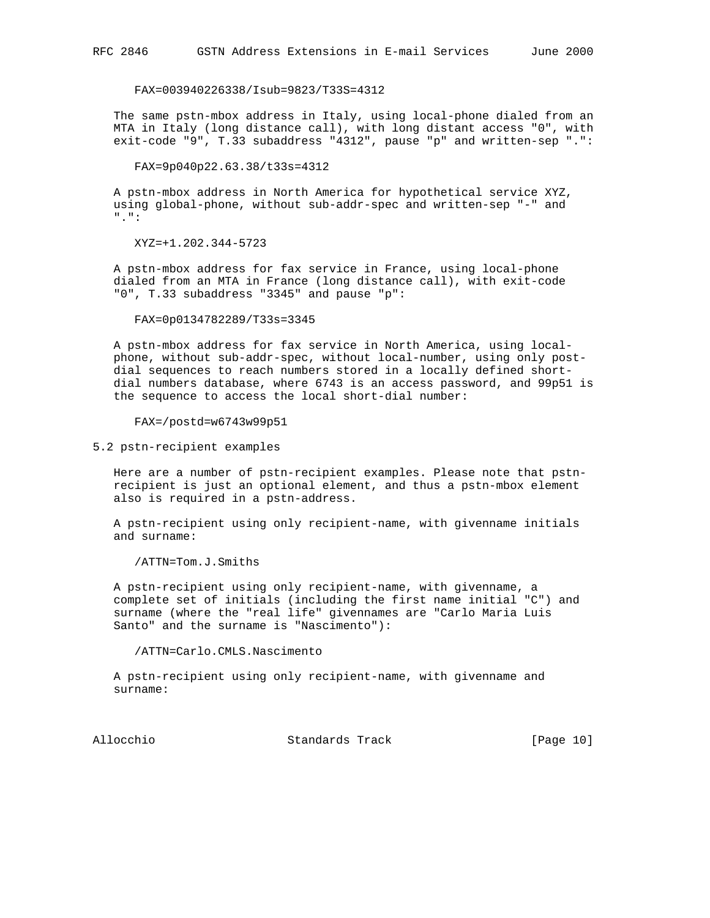FAX=003940226338/Isub=9823/T33S=4312

 The same pstn-mbox address in Italy, using local-phone dialed from an MTA in Italy (long distance call), with long distant access "0", with exit-code "9", T.33 subaddress "4312", pause "p" and written-sep ".":

FAX=9p040p22.63.38/t33s=4312

 A pstn-mbox address in North America for hypothetical service XYZ, using global-phone, without sub-addr-spec and written-sep "-" and ".":

XYZ=+1.202.344-5723

 A pstn-mbox address for fax service in France, using local-phone dialed from an MTA in France (long distance call), with exit-code "0", T.33 subaddress "3345" and pause "p":

FAX=0p0134782289/T33s=3345

 A pstn-mbox address for fax service in North America, using local phone, without sub-addr-spec, without local-number, using only post dial sequences to reach numbers stored in a locally defined short dial numbers database, where 6743 is an access password, and 99p51 is the sequence to access the local short-dial number:

FAX=/postd=w6743w99p51

5.2 pstn-recipient examples

 Here are a number of pstn-recipient examples. Please note that pstn recipient is just an optional element, and thus a pstn-mbox element also is required in a pstn-address.

 A pstn-recipient using only recipient-name, with givenname initials and surname:

/ATTN=Tom.J.Smiths

 A pstn-recipient using only recipient-name, with givenname, a complete set of initials (including the first name initial "C") and surname (where the "real life" givennames are "Carlo Maria Luis Santo" and the surname is "Nascimento"):

/ATTN=Carlo.CMLS.Nascimento

 A pstn-recipient using only recipient-name, with givenname and surname:

Allocchio Standards Track [Page 10]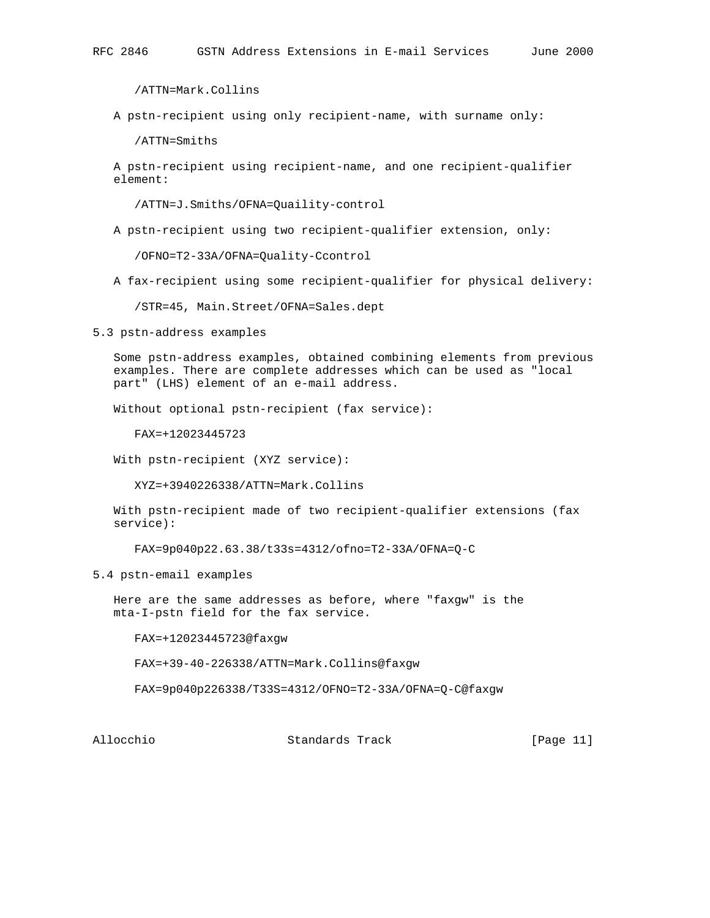/ATTN=Mark.Collins

A pstn-recipient using only recipient-name, with surname only:

/ATTN=Smiths

 A pstn-recipient using recipient-name, and one recipient-qualifier element:

/ATTN=J.Smiths/OFNA=Quaility-control

A pstn-recipient using two recipient-qualifier extension, only:

/OFNO=T2-33A/OFNA=Quality-Ccontrol

A fax-recipient using some recipient-qualifier for physical delivery:

/STR=45, Main.Street/OFNA=Sales.dept

5.3 pstn-address examples

 Some pstn-address examples, obtained combining elements from previous examples. There are complete addresses which can be used as "local part" (LHS) element of an e-mail address.

Without optional pstn-recipient (fax service):

FAX=+12023445723

With pstn-recipient (XYZ service):

XYZ=+3940226338/ATTN=Mark.Collins

 With pstn-recipient made of two recipient-qualifier extensions (fax service):

FAX=9p040p22.63.38/t33s=4312/ofno=T2-33A/OFNA=Q-C

5.4 pstn-email examples

 Here are the same addresses as before, where "faxgw" is the mta-I-pstn field for the fax service.

FAX=+12023445723@faxgw

FAX=+39-40-226338/ATTN=Mark.Collins@faxgw

FAX=9p040p226338/T33S=4312/OFNO=T2-33A/OFNA=Q-C@faxgw

Allocchio Standards Track [Page 11]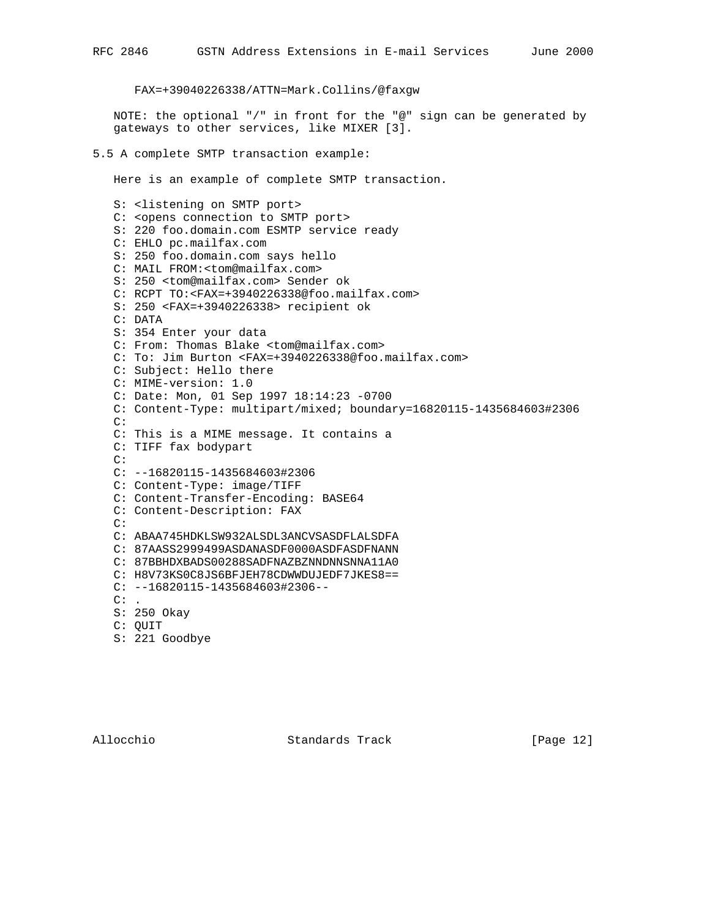FAX=+39040226338/ATTN=Mark.Collins/@faxgw

 NOTE: the optional "/" in front for the "@" sign can be generated by gateways to other services, like MIXER [3].

5.5 A complete SMTP transaction example:

Here is an example of complete SMTP transaction.

 S: <listening on SMTP port> C: <opens connection to SMTP port> S: 220 foo.domain.com ESMTP service ready C: EHLO pc.mailfax.com S: 250 foo.domain.com says hello C: MAIL FROM:<tom@mailfax.com> S: 250 <tom@mailfax.com> Sender ok C: RCPT TO:<FAX=+3940226338@foo.mailfax.com> S: 250 <FAX=+3940226338> recipient ok C: DATA S: 354 Enter your data C: From: Thomas Blake <tom@mailfax.com> C: To: Jim Burton <FAX=+3940226338@foo.mailfax.com> C: Subject: Hello there C: MIME-version: 1.0 C: Date: Mon, 01 Sep 1997 18:14:23 -0700 C: Content-Type: multipart/mixed; boundary=16820115-1435684603#2306 C: C: This is a MIME message. It contains a C: TIFF fax bodypart C: C: --16820115-1435684603#2306 C: Content-Type: image/TIFF C: Content-Transfer-Encoding: BASE64 C: Content-Description: FAX C: C: ABAA745HDKLSW932ALSDL3ANCVSASDFLALSDFA C: 87AASS2999499ASDANASDF0000ASDFASDFNANN C: 87BBHDXBADS00288SADFNAZBZNNDNNSNNA11A0 C: H8V73KS0C8JS6BFJEH78CDWWDUJEDF7JKES8==  $C:$  --16820115-1435684603#2306-- $\mathtt{C:}$  . S: 250 Okay C: QUIT S: 221 Goodbye

Allocchio Standards Track [Page 12]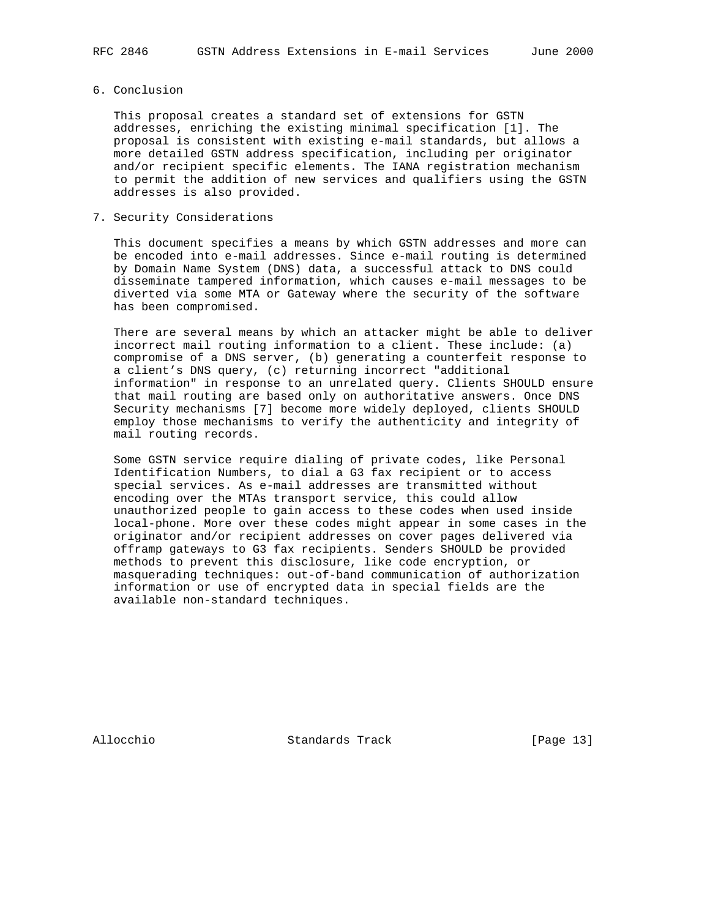### 6. Conclusion

 This proposal creates a standard set of extensions for GSTN addresses, enriching the existing minimal specification [1]. The proposal is consistent with existing e-mail standards, but allows a more detailed GSTN address specification, including per originator and/or recipient specific elements. The IANA registration mechanism to permit the addition of new services and qualifiers using the GSTN addresses is also provided.

### 7. Security Considerations

 This document specifies a means by which GSTN addresses and more can be encoded into e-mail addresses. Since e-mail routing is determined by Domain Name System (DNS) data, a successful attack to DNS could disseminate tampered information, which causes e-mail messages to be diverted via some MTA or Gateway where the security of the software has been compromised.

 There are several means by which an attacker might be able to deliver incorrect mail routing information to a client. These include: (a) compromise of a DNS server, (b) generating a counterfeit response to a client's DNS query, (c) returning incorrect "additional information" in response to an unrelated query. Clients SHOULD ensure that mail routing are based only on authoritative answers. Once DNS Security mechanisms [7] become more widely deployed, clients SHOULD employ those mechanisms to verify the authenticity and integrity of mail routing records.

 Some GSTN service require dialing of private codes, like Personal Identification Numbers, to dial a G3 fax recipient or to access special services. As e-mail addresses are transmitted without encoding over the MTAs transport service, this could allow unauthorized people to gain access to these codes when used inside local-phone. More over these codes might appear in some cases in the originator and/or recipient addresses on cover pages delivered via offramp gateways to G3 fax recipients. Senders SHOULD be provided methods to prevent this disclosure, like code encryption, or masquerading techniques: out-of-band communication of authorization information or use of encrypted data in special fields are the available non-standard techniques.

Allocchio Standards Track [Page 13]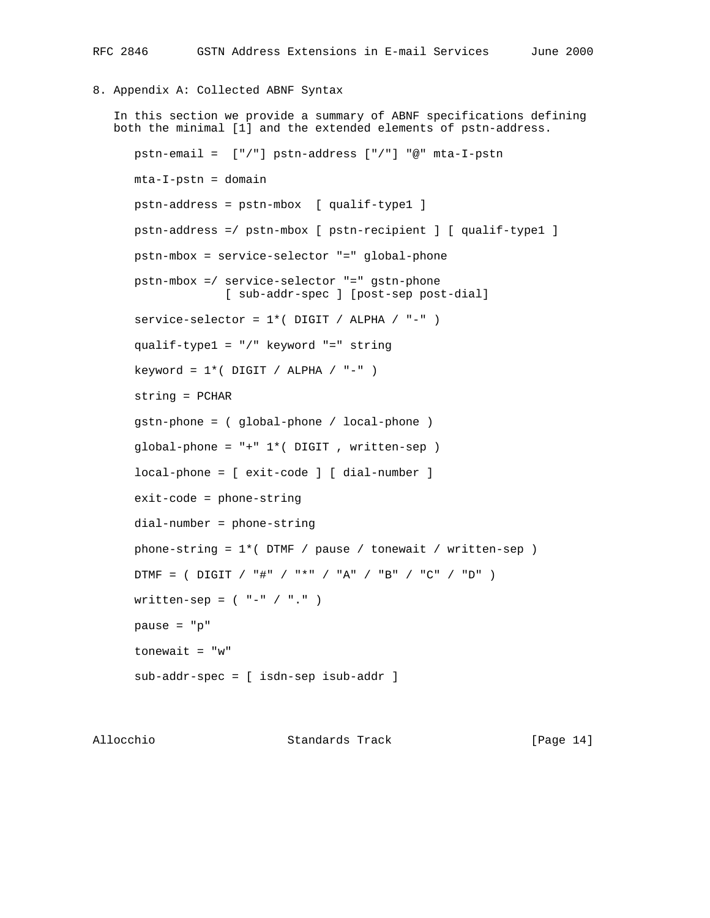## 8. Appendix A: Collected ABNF Syntax

```
 In this section we provide a summary of ABNF specifications defining
 both the minimal [1] and the extended elements of pstn-address.
    pstn-email = ["/"] pstn-address ["/"] "@" mta-I-pstn
   mta-I-pstn = domain pstn-address = pstn-mbox [ qualif-type1 ]
    pstn-address =/ pstn-mbox [ pstn-recipient ] [ qualif-type1 ]
    pstn-mbox = service-selector "=" global-phone
    pstn-mbox =/ service-selector "=" gstn-phone
                 [ sub-addr-spec ] [post-sep post-dial]
   service-selector = 1*( DIGIT / ALPHA / "-" )
    qualif-type1 = "/" keyword "=" string
   keyword = 1*( DIGIT / ALPHA / "-" )
    string = PCHAR
    gstn-phone = ( global-phone / local-phone )
    global-phone = "+" 1*( DIGIT , written-sep )
    local-phone = [ exit-code ] [ dial-number ]
    exit-code = phone-string
    dial-number = phone-string
    phone-string = 1*( DTMF / pause / tonewait / written-sep )
   DTMF = ( DIGIT / "#" / "*" / "A" / "B" / "C" / "D" )written-sep = ( " - " / " . " ) pause = "p"
   tonewait = "w" sub-addr-spec = [ isdn-sep isub-addr ]
```
Allocchio Standards Track [Page 14]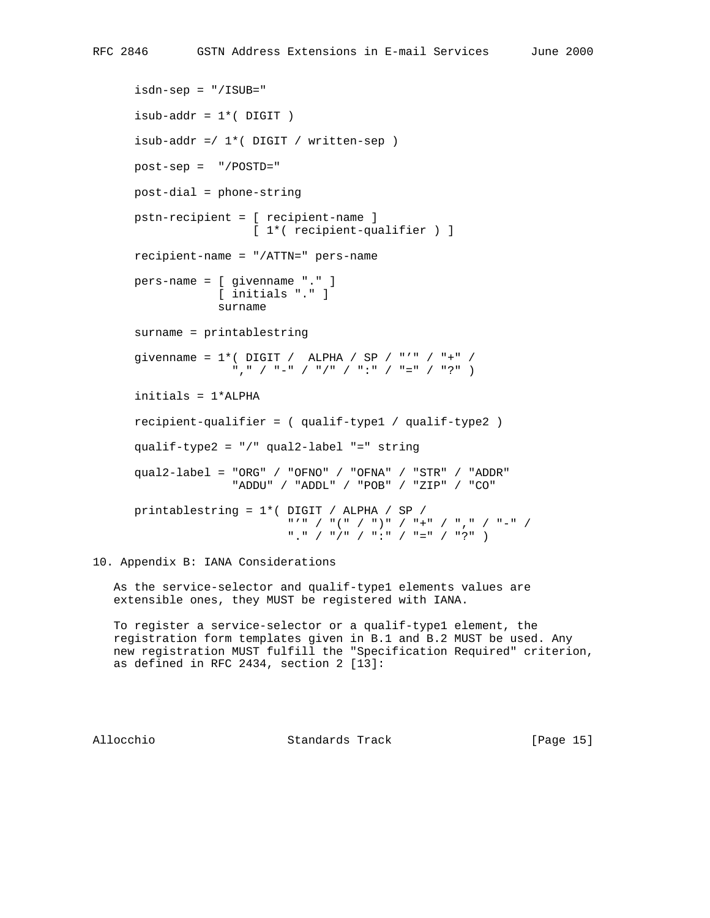```
 isdn-sep = "/ISUB="
isub-addr = 1*(DJGT) isub-addr =/ 1*( DIGIT / written-sep )
 post-sep = "/POSTD="
 post-dial = phone-string
 pstn-recipient = [ recipient-name ]
                  [ 1*( recipient-qualifier ) ]
 recipient-name = "/ATTN=" pers-name
 pers-name = [ givenname "." ]
             [ initials "." ]
             surname
 surname = printablestring
givenname = 1*( DIGIT / ALPHA / SP / "'" / "+" /
               "," / "-" / "/" / ":" / "=" / "?" )
 initials = 1*ALPHA
 recipient-qualifier = ( qualif-type1 / qualif-type2 )
 qualif-type2 = "/" qual2-label "=" string
 qual2-label = "ORG" / "OFNO" / "OFNA" / "STR" / "ADDR"
               "ADDU" / "ADDL" / "POB" / "ZIP" / "CO"
 printablestring = 1*( DIGIT / ALPHA / SP /
                       "'" / "(" / ")" / "+" / "," / "-" /
                       "." / "/" / ":" / "=" / "?" )
```
10. Appendix B: IANA Considerations

 As the service-selector and qualif-type1 elements values are extensible ones, they MUST be registered with IANA.

 To register a service-selector or a qualif-type1 element, the registration form templates given in B.1 and B.2 MUST be used. Any new registration MUST fulfill the "Specification Required" criterion, as defined in RFC 2434, section 2 [13]:

Allocchio Standards Track [Page 15]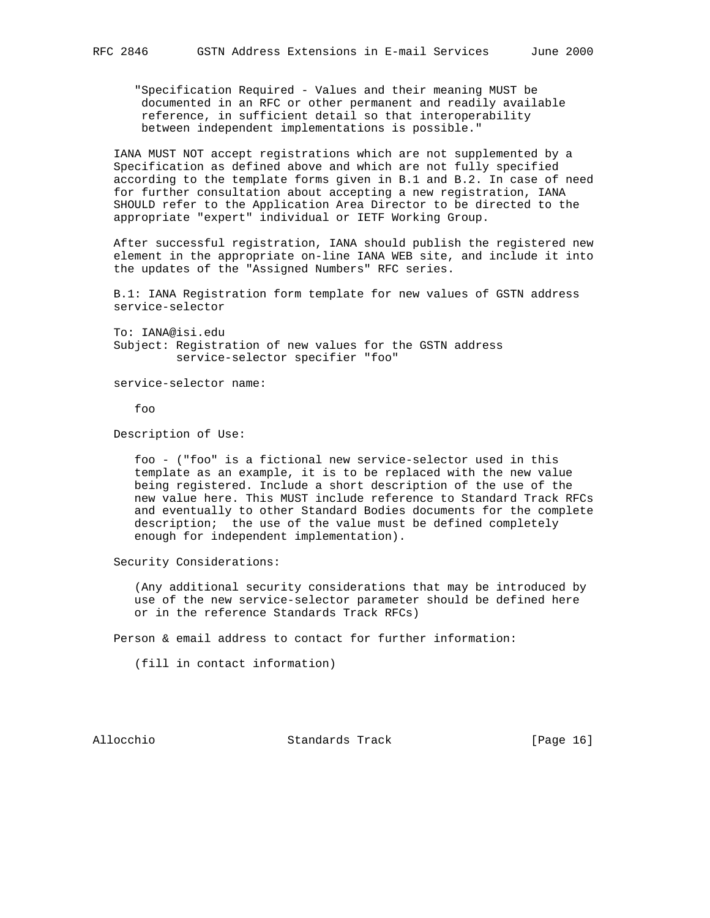"Specification Required - Values and their meaning MUST be documented in an RFC or other permanent and readily available reference, in sufficient detail so that interoperability between independent implementations is possible."

 IANA MUST NOT accept registrations which are not supplemented by a Specification as defined above and which are not fully specified according to the template forms given in B.1 and B.2. In case of need for further consultation about accepting a new registration, IANA SHOULD refer to the Application Area Director to be directed to the appropriate "expert" individual or IETF Working Group.

 After successful registration, IANA should publish the registered new element in the appropriate on-line IANA WEB site, and include it into the updates of the "Assigned Numbers" RFC series.

 B.1: IANA Registration form template for new values of GSTN address service-selector

 To: IANA@isi.edu Subject: Registration of new values for the GSTN address service-selector specifier "foo"

service-selector name:

foo

Description of Use:

 foo - ("foo" is a fictional new service-selector used in this template as an example, it is to be replaced with the new value being registered. Include a short description of the use of the new value here. This MUST include reference to Standard Track RFCs and eventually to other Standard Bodies documents for the complete description; the use of the value must be defined completely enough for independent implementation).

Security Considerations:

 (Any additional security considerations that may be introduced by use of the new service-selector parameter should be defined here or in the reference Standards Track RFCs)

Person & email address to contact for further information:

(fill in contact information)

Allocchio Standards Track [Page 16]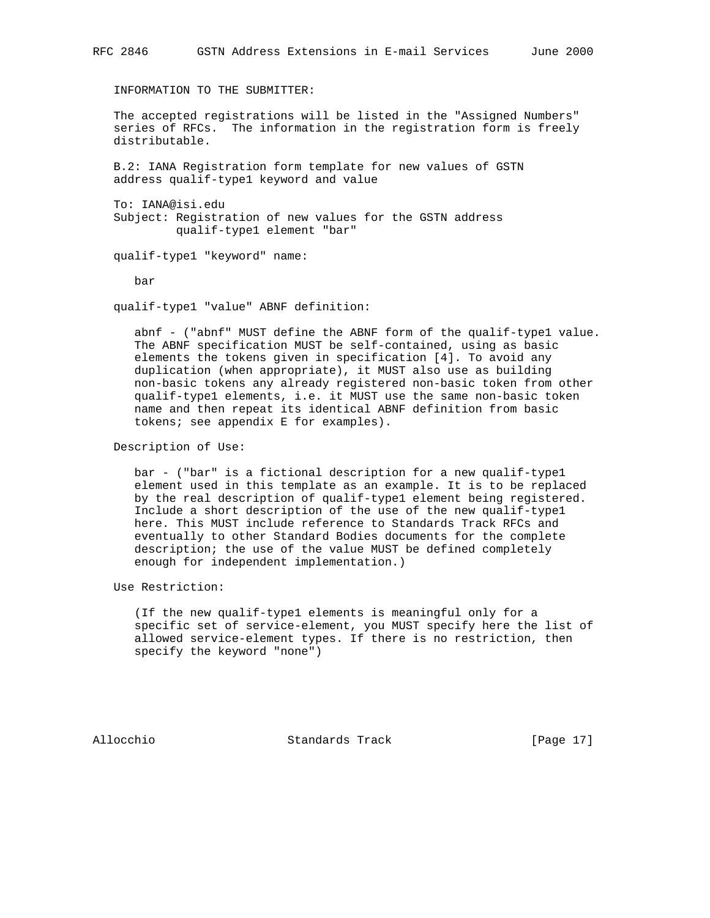INFORMATION TO THE SUBMITTER:

 The accepted registrations will be listed in the "Assigned Numbers" series of RFCs. The information in the registration form is freely distributable.

 B.2: IANA Registration form template for new values of GSTN address qualif-type1 keyword and value

 To: IANA@isi.edu Subject: Registration of new values for the GSTN address qualif-type1 element "bar"

qualif-type1 "keyword" name:

bar

qualif-type1 "value" ABNF definition:

 abnf - ("abnf" MUST define the ABNF form of the qualif-type1 value. The ABNF specification MUST be self-contained, using as basic elements the tokens given in specification [4]. To avoid any duplication (when appropriate), it MUST also use as building non-basic tokens any already registered non-basic token from other qualif-type1 elements, i.e. it MUST use the same non-basic token name and then repeat its identical ABNF definition from basic tokens; see appendix E for examples).

Description of Use:

 bar - ("bar" is a fictional description for a new qualif-type1 element used in this template as an example. It is to be replaced by the real description of qualif-type1 element being registered. Include a short description of the use of the new qualif-type1 here. This MUST include reference to Standards Track RFCs and eventually to other Standard Bodies documents for the complete description; the use of the value MUST be defined completely enough for independent implementation.)

Use Restriction:

 (If the new qualif-type1 elements is meaningful only for a specific set of service-element, you MUST specify here the list of allowed service-element types. If there is no restriction, then specify the keyword "none")

Allocchio Standards Track [Page 17]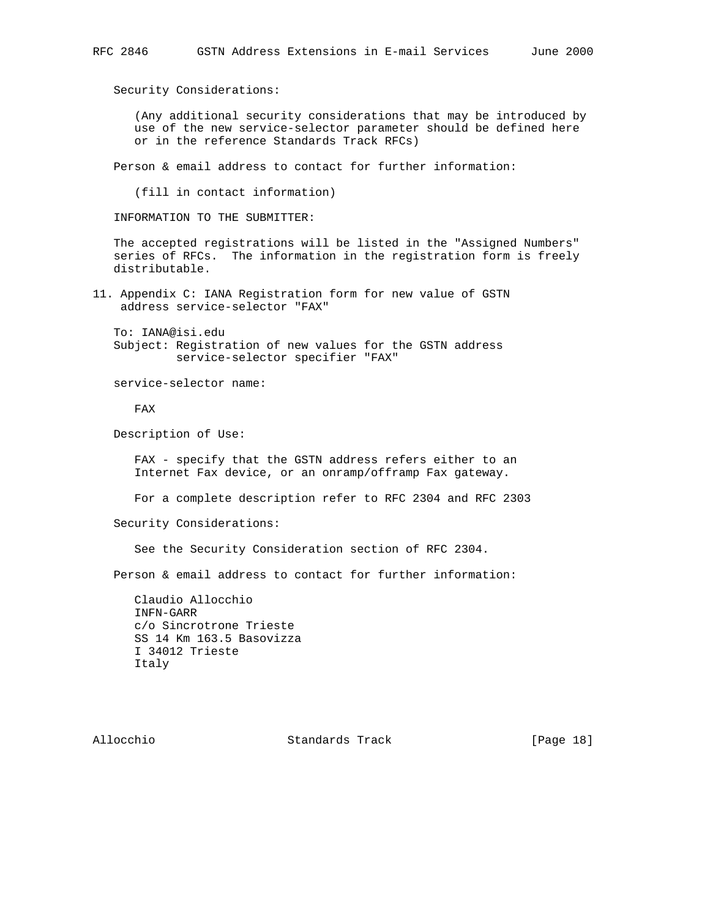Security Considerations:

 (Any additional security considerations that may be introduced by use of the new service-selector parameter should be defined here or in the reference Standards Track RFCs)

Person & email address to contact for further information:

(fill in contact information)

INFORMATION TO THE SUBMITTER:

 The accepted registrations will be listed in the "Assigned Numbers" series of RFCs. The information in the registration form is freely distributable.

11. Appendix C: IANA Registration form for new value of GSTN address service-selector "FAX"

 To: IANA@isi.edu Subject: Registration of new values for the GSTN address service-selector specifier "FAX"

service-selector name:

FAX

Description of Use:

FAX - specify that the GSTN address refers either to an Internet Fax device, or an onramp/offramp Fax gateway.

For a complete description refer to RFC 2304 and RFC 2303

Security Considerations:

See the Security Consideration section of RFC 2304.

Person & email address to contact for further information:

 Claudio Allocchio INFN-GARR c/o Sincrotrone Trieste SS 14 Km 163.5 Basovizza I 34012 Trieste Italy

Allocchio Standards Track [Page 18]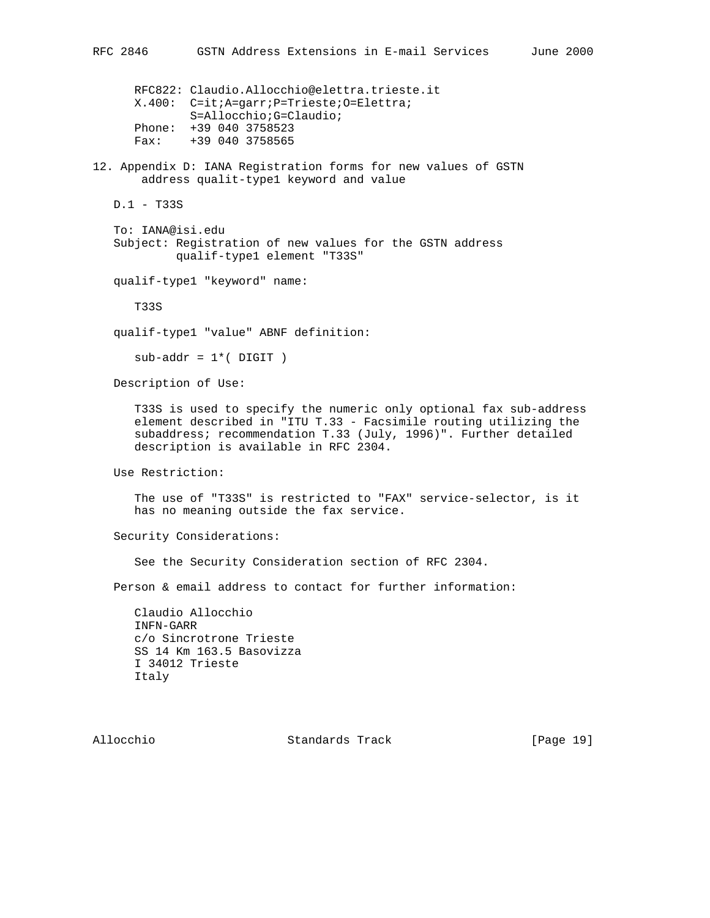```
 RFC822: Claudio.Allocchio@elettra.trieste.it
 X.400: C=it;A=garr;P=Trieste;O=Elettra;
        S=Allocchio;G=Claudio;
 Phone: +39 040 3758523
 Fax: +39 040 3758565
```
12. Appendix D: IANA Registration forms for new values of GSTN address qualit-type1 keyword and value

D.1 - T33S

 To: IANA@isi.edu Subject: Registration of new values for the GSTN address qualif-type1 element "T33S"

qualif-type1 "keyword" name:

T33S

qualif-type1 "value" ABNF definition:

 $sub-addr = 1*($  DIGIT  $)$ 

Description of Use:

 T33S is used to specify the numeric only optional fax sub-address element described in "ITU T.33 - Facsimile routing utilizing the subaddress; recommendation T.33 (July, 1996)". Further detailed description is available in RFC 2304.

Use Restriction:

 The use of "T33S" is restricted to "FAX" service-selector, is it has no meaning outside the fax service.

Security Considerations:

See the Security Consideration section of RFC 2304.

Person & email address to contact for further information:

 Claudio Allocchio INFN-GARR c/o Sincrotrone Trieste SS 14 Km 163.5 Basovizza I 34012 Trieste Italy

Allocchio Standards Track [Page 19]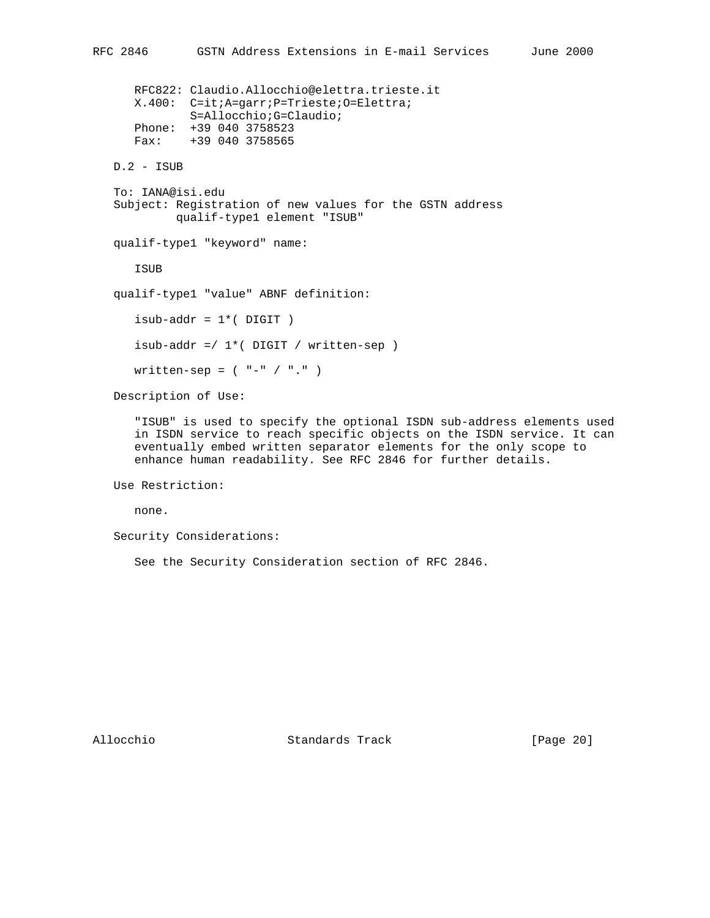```
 RFC822: Claudio.Allocchio@elettra.trieste.it
    X.400: C=it;A=garr;P=Trieste;O=Elettra;
            S=Allocchio;G=Claudio;
    Phone: +39 040 3758523
    Fax: +39 040 3758565
 D.2 - ISUB
 To: IANA@isi.edu
 Subject: Registration of new values for the GSTN address
          qualif-type1 element "ISUB"
 qualif-type1 "keyword" name:
    ISUB
 qualif-type1 "value" ABNF definition:
   isub-addr = 1*(DJGT)isub-addr =/1*( DIGIT / written-sep )
   written-sep = ( " - " / " . " ) Description of Use:
```
 "ISUB" is used to specify the optional ISDN sub-address elements used in ISDN service to reach specific objects on the ISDN service. It can eventually embed written separator elements for the only scope to enhance human readability. See RFC 2846 for further details.

Use Restriction:

none.

Security Considerations:

See the Security Consideration section of RFC 2846.

Allocchio Standards Track [Page 20]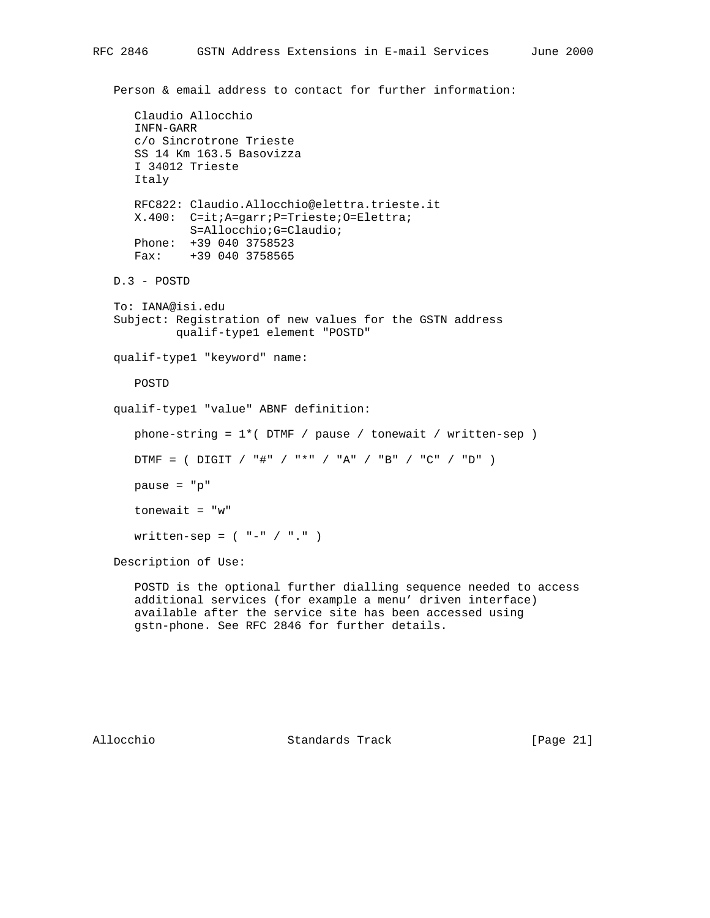```
 Claudio Allocchio
    INFN-GARR
    c/o Sincrotrone Trieste
    SS 14 Km 163.5 Basovizza
    I 34012 Trieste
    Italy
    RFC822: Claudio.Allocchio@elettra.trieste.it
    X.400: C=it;A=garr;P=Trieste;O=Elettra;
            S=Allocchio;G=Claudio;
    Phone: +39 040 3758523
    Fax: +39 040 3758565
 D.3 - POSTD
 To: IANA@isi.edu
 Subject: Registration of new values for the GSTN address
          qualif-type1 element "POSTD"
 qualif-type1 "keyword" name:
    POSTD
 qualif-type1 "value" ABNF definition:
   phone-string = 1*( DTMF / pause / tonewait / written-sep )
   DTMF = ( DIGIT / "#" / "*" / "A" / "B" / "C" / "D" ) pause = "p"
    tonewait = "w"
   written-sep = (' -'' / " .") Description of Use:
    POSTD is the optional further dialling sequence needed to access
    additional services (for example a menu' driven interface)
    available after the service site has been accessed using
```
gstn-phone. See RFC 2846 for further details.

Allocchio Standards Track [Page 21]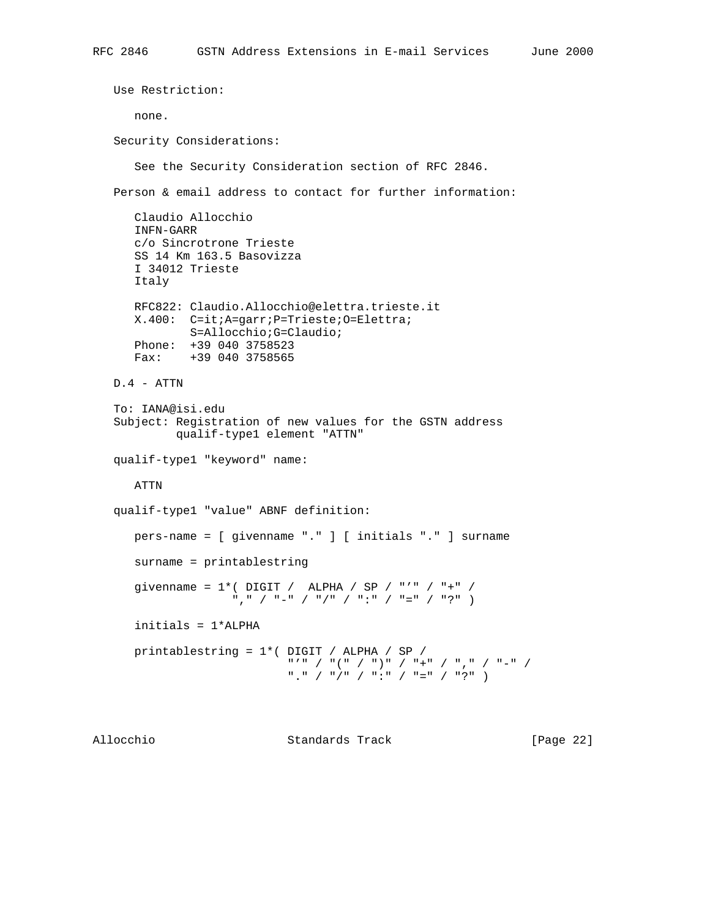```
 Use Restriction:
      none.
   Security Considerations:
      See the Security Consideration section of RFC 2846.
   Person & email address to contact for further information:
      Claudio Allocchio
      INFN-GARR
      c/o Sincrotrone Trieste
      SS 14 Km 163.5 Basovizza
      I 34012 Trieste
      Italy
      RFC822: Claudio.Allocchio@elettra.trieste.it
      X.400: C=it;A=garr;P=Trieste;O=Elettra;
             S=Allocchio;G=Claudio;
      Phone: +39 040 3758523
      Fax: +39 040 3758565
   D.4 - ATTN
   To: IANA@isi.edu
   Subject: Registration of new values for the GSTN address
            qualif-type1 element "ATTN"
   qualif-type1 "keyword" name:
      ATTN
   qualif-type1 "value" ABNF definition:
      pers-name = [ givenname "." ] [ initials "." ] surname
      surname = printablestring
 givenname = 1*( DIGIT / ALPHA / SP / "'" / "+" /
 "," / "-" / "/" / ":" / "=" / "?" )
      initials = 1*ALPHA
      printablestring = 1*( DIGIT / ALPHA / SP /
                            "'" / "(" / ")" / "+" / "," / "-" /
                             "." / "/" / ":" / "=" / "?" )
```
Allocchio Standards Track [Page 22]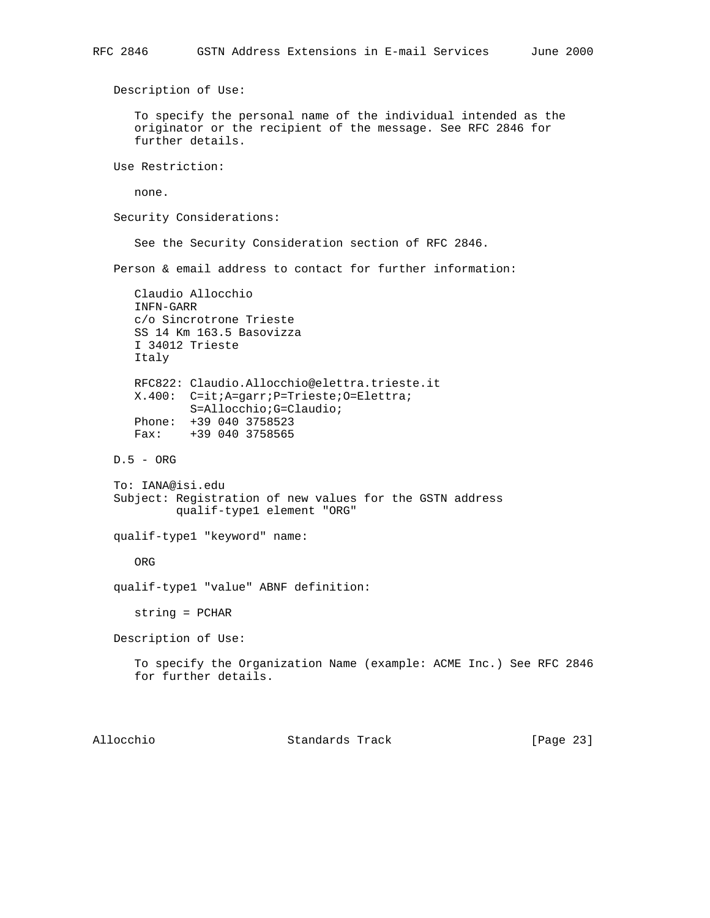Description of Use: To specify the personal name of the individual intended as the originator or the recipient of the message. See RFC 2846 for further details. Use Restriction: none. Security Considerations: See the Security Consideration section of RFC 2846. Person & email address to contact for further information: Claudio Allocchio INFN-GARR c/o Sincrotrone Trieste SS 14 Km 163.5 Basovizza I 34012 Trieste Italy RFC822: Claudio.Allocchio@elettra.trieste.it X.400: C=it;A=garr;P=Trieste;O=Elettra; S=Allocchio;G=Claudio; Phone: +39 040 3758523 Fax: +39 040 3758565 D.5 - ORG To: IANA@isi.edu Subject: Registration of new values for the GSTN address qualif-type1 element "ORG" qualif-type1 "keyword" name: ORG qualif-type1 "value" ABNF definition: string = PCHAR Description of Use: To specify the Organization Name (example: ACME Inc.) See RFC 2846 for further details. Allocchio Standards Track [Page 23]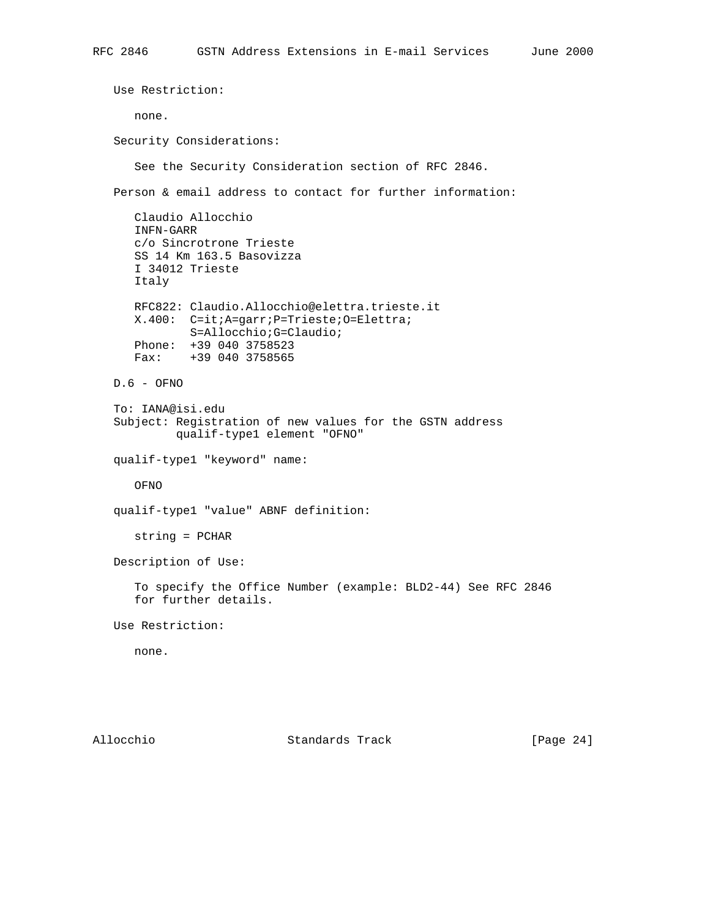Use Restriction: none. Security Considerations: See the Security Consideration section of RFC 2846. Person & email address to contact for further information: Claudio Allocchio INFN-GARR c/o Sincrotrone Trieste SS 14 Km 163.5 Basovizza I 34012 Trieste Italy RFC822: Claudio.Allocchio@elettra.trieste.it X.400: C=it;A=garr;P=Trieste;O=Elettra; S=Allocchio;G=Claudio; Phone: +39 040 3758523 Fax: +39 040 3758565 D.6 - OFNO To: IANA@isi.edu Subject: Registration of new values for the GSTN address qualif-type1 element "OFNO" qualif-type1 "keyword" name: OFNO qualif-type1 "value" ABNF definition: string = PCHAR Description of Use: To specify the Office Number (example: BLD2-44) See RFC 2846 for further details. Use Restriction: none.

Allocchio Standards Track [Page 24]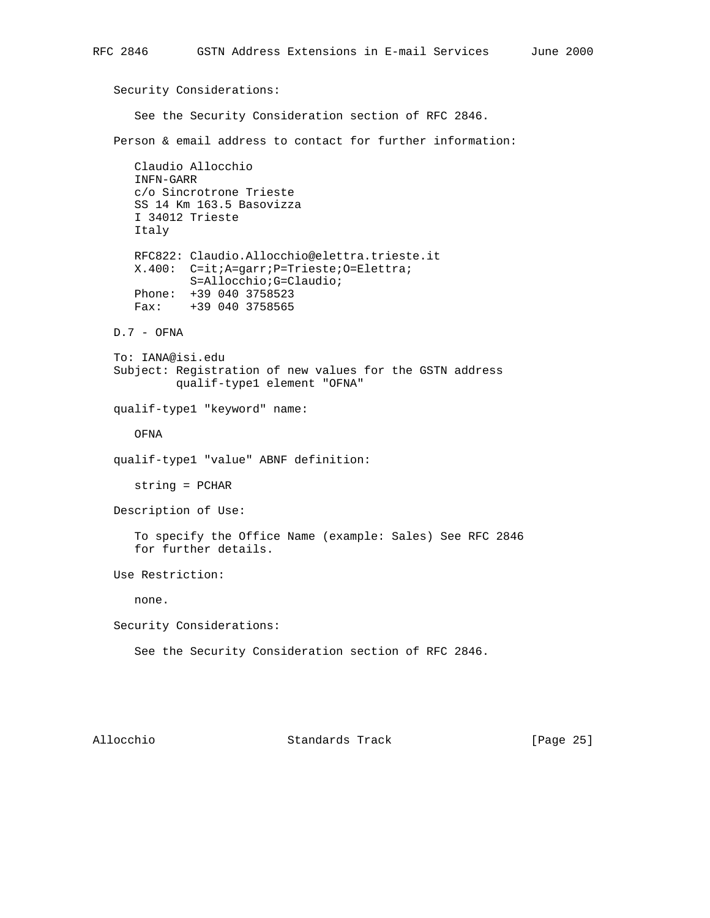Security Considerations: See the Security Consideration section of RFC 2846. Person & email address to contact for further information: Claudio Allocchio INFN-GARR c/o Sincrotrone Trieste SS 14 Km 163.5 Basovizza I 34012 Trieste Italy RFC822: Claudio.Allocchio@elettra.trieste.it X.400: C=it;A=garr;P=Trieste;O=Elettra; S=Allocchio;G=Claudio; Phone: +39 040 3758523 Fax: +39 040 3758565 D.7 - OFNA To: IANA@isi.edu Subject: Registration of new values for the GSTN address qualif-type1 element "OFNA" qualif-type1 "keyword" name: OFNA qualif-type1 "value" ABNF definition: string = PCHAR Description of Use: To specify the Office Name (example: Sales) See RFC 2846 for further details. Use Restriction: none. Security Considerations: See the Security Consideration section of RFC 2846.

Allocchio Standards Track [Page 25]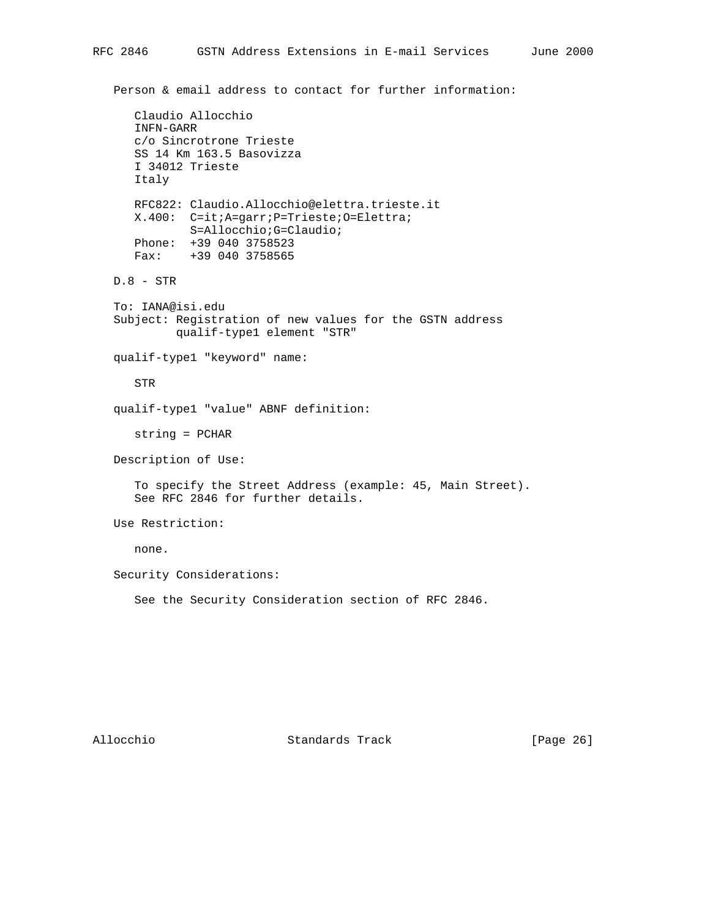```
 Claudio Allocchio
    INFN-GARR
    c/o Sincrotrone Trieste
    SS 14 Km 163.5 Basovizza
    I 34012 Trieste
    Italy
    RFC822: Claudio.Allocchio@elettra.trieste.it
    X.400: C=it;A=garr;P=Trieste;O=Elettra;
            S=Allocchio;G=Claudio;
    Phone: +39 040 3758523
    Fax: +39 040 3758565
 D.8 - STR
 To: IANA@isi.edu
 Subject: Registration of new values for the GSTN address
          qualif-type1 element "STR"
 qualif-type1 "keyword" name:
    STR
 qualif-type1 "value" ABNF definition:
    string = PCHAR
 Description of Use:
    To specify the Street Address (example: 45, Main Street).
    See RFC 2846 for further details.
 Use Restriction:
    none.
 Security Considerations:
    See the Security Consideration section of RFC 2846.
```
Allocchio Standards Track [Page 26]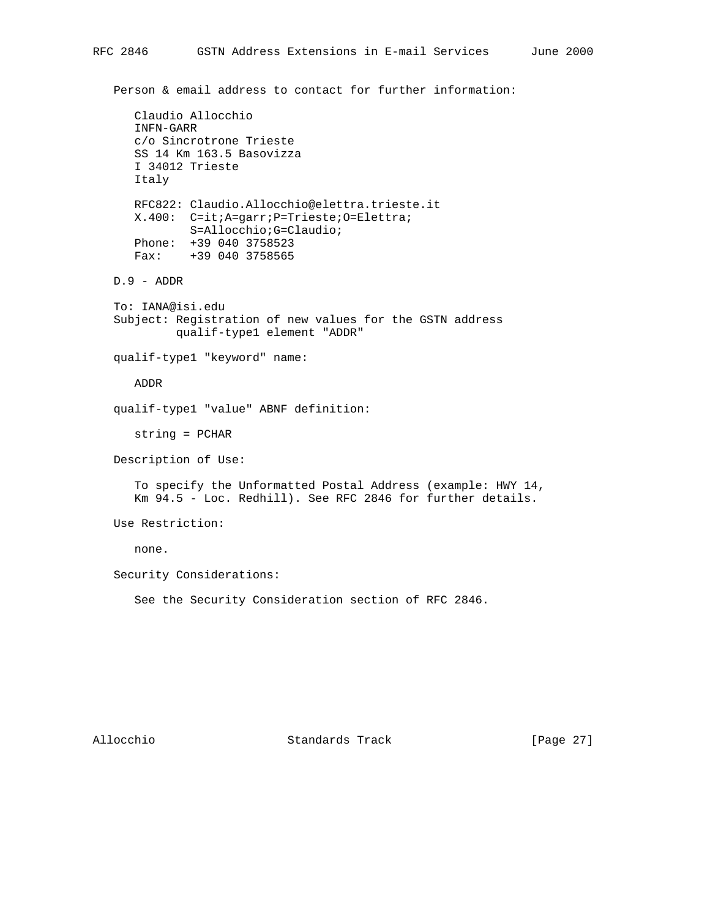```
 Claudio Allocchio
    INFN-GARR
    c/o Sincrotrone Trieste
    SS 14 Km 163.5 Basovizza
    I 34012 Trieste
    Italy
    RFC822: Claudio.Allocchio@elettra.trieste.it
    X.400: C=it;A=garr;P=Trieste;O=Elettra;
            S=Allocchio;G=Claudio;
    Phone: +39 040 3758523
    Fax: +39 040 3758565
 D.9 - ADDR
 To: IANA@isi.edu
 Subject: Registration of new values for the GSTN address
          qualif-type1 element "ADDR"
 qualif-type1 "keyword" name:
    ADDR
 qualif-type1 "value" ABNF definition:
    string = PCHAR
 Description of Use:
    To specify the Unformatted Postal Address (example: HWY 14,
    Km 94.5 - Loc. Redhill). See RFC 2846 for further details.
 Use Restriction:
    none.
 Security Considerations:
    See the Security Consideration section of RFC 2846.
```
Allocchio Standards Track [Page 27]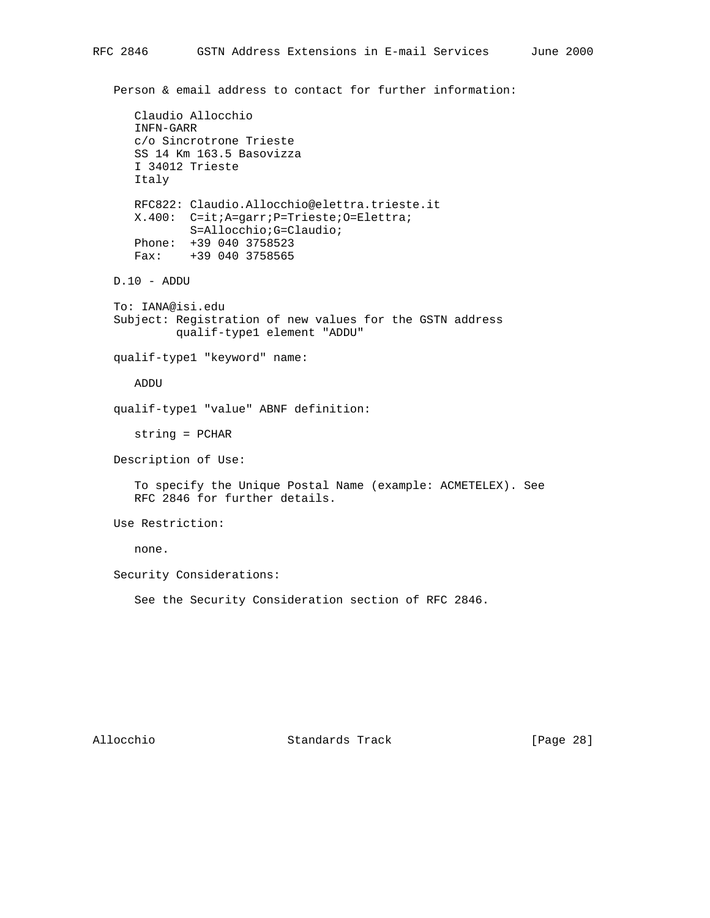```
 Claudio Allocchio
    INFN-GARR
    c/o Sincrotrone Trieste
    SS 14 Km 163.5 Basovizza
    I 34012 Trieste
    Italy
    RFC822: Claudio.Allocchio@elettra.trieste.it
    X.400: C=it;A=garr;P=Trieste;O=Elettra;
            S=Allocchio;G=Claudio;
    Phone: +39 040 3758523
    Fax: +39 040 3758565
 D.10 - ADDU
 To: IANA@isi.edu
 Subject: Registration of new values for the GSTN address
          qualif-type1 element "ADDU"
 qualif-type1 "keyword" name:
    ADDU
 qualif-type1 "value" ABNF definition:
    string = PCHAR
 Description of Use:
    To specify the Unique Postal Name (example: ACMETELEX). See
    RFC 2846 for further details.
 Use Restriction:
    none.
 Security Considerations:
    See the Security Consideration section of RFC 2846.
```
Allocchio Standards Track [Page 28]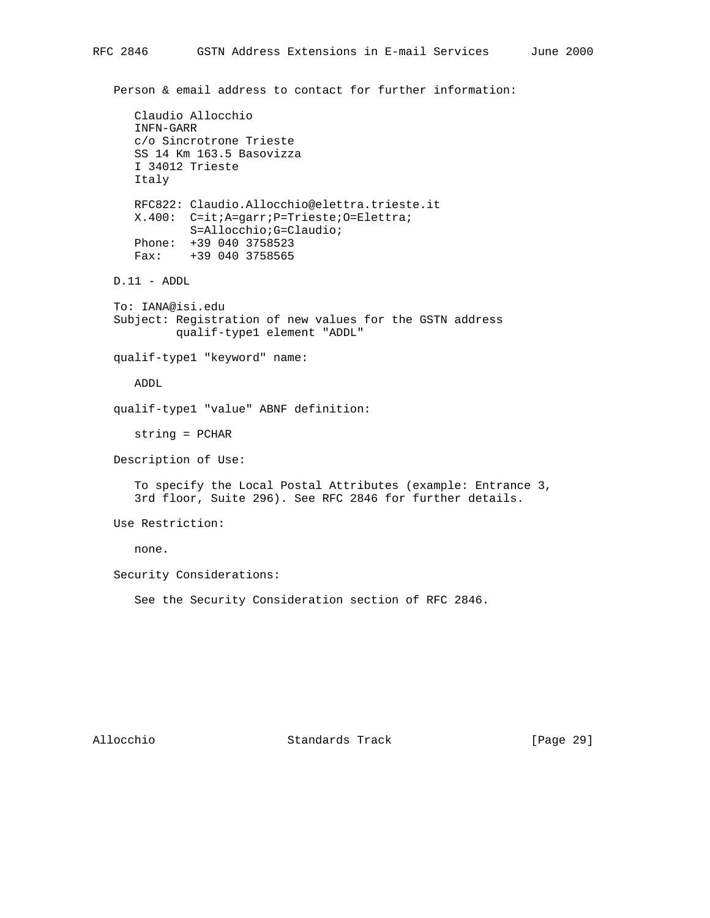```
 Claudio Allocchio
    INFN-GARR
    c/o Sincrotrone Trieste
    SS 14 Km 163.5 Basovizza
    I 34012 Trieste
    Italy
    RFC822: Claudio.Allocchio@elettra.trieste.it
    X.400: C=it;A=garr;P=Trieste;O=Elettra;
            S=Allocchio;G=Claudio;
    Phone: +39 040 3758523
    Fax: +39 040 3758565
 D.11 - ADDL
 To: IANA@isi.edu
 Subject: Registration of new values for the GSTN address
          qualif-type1 element "ADDL"
 qualif-type1 "keyword" name:
    ADDL
 qualif-type1 "value" ABNF definition:
    string = PCHAR
 Description of Use:
    To specify the Local Postal Attributes (example: Entrance 3,
    3rd floor, Suite 296). See RFC 2846 for further details.
 Use Restriction:
    none.
 Security Considerations:
    See the Security Consideration section of RFC 2846.
```
Allocchio Standards Track [Page 29]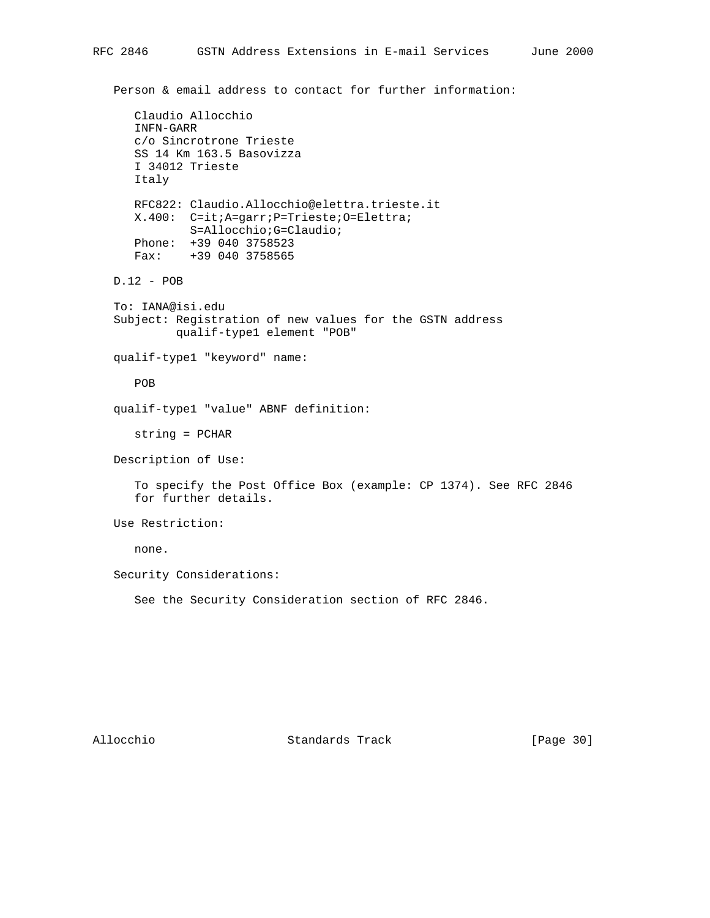```
 Person & email address to contact for further information:
    Claudio Allocchio
    INFN-GARR
    c/o Sincrotrone Trieste
    SS 14 Km 163.5 Basovizza
    I 34012 Trieste
    Italy
    RFC822: Claudio.Allocchio@elettra.trieste.it
    X.400: C=it;A=garr;P=Trieste;O=Elettra;
            S=Allocchio;G=Claudio;
    Phone: +39 040 3758523
    Fax: +39 040 3758565
 D.12 - POB
 To: IANA@isi.edu
 Subject: Registration of new values for the GSTN address
          qualif-type1 element "POB"
 qualif-type1 "keyword" name:
    POB
 qualif-type1 "value" ABNF definition:
    string = PCHAR
 Description of Use:
    To specify the Post Office Box (example: CP 1374). See RFC 2846
    for further details.
 Use Restriction:
    none.
 Security Considerations:
    See the Security Consideration section of RFC 2846.
```
Allocchio Standards Track [Page 30]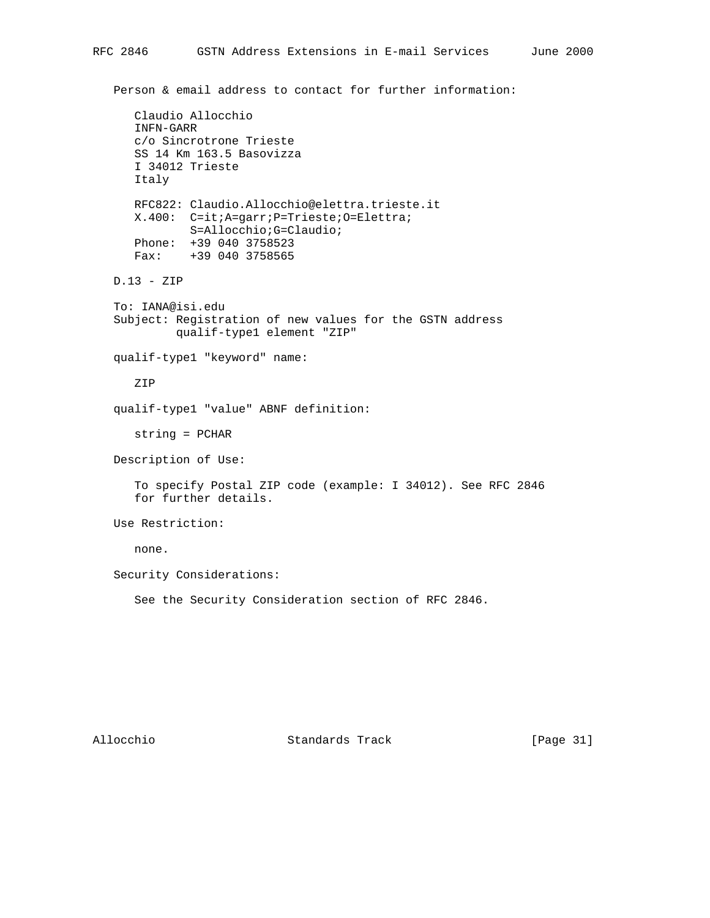```
 Person & email address to contact for further information:
    Claudio Allocchio
    INFN-GARR
    c/o Sincrotrone Trieste
    SS 14 Km 163.5 Basovizza
    I 34012 Trieste
    Italy
    RFC822: Claudio.Allocchio@elettra.trieste.it
    X.400: C=it;A=garr;P=Trieste;O=Elettra;
            S=Allocchio;G=Claudio;
    Phone: +39 040 3758523
    Fax: +39 040 3758565
 D.13 - ZIP
 To: IANA@isi.edu
 Subject: Registration of new values for the GSTN address
          qualif-type1 element "ZIP"
 qualif-type1 "keyword" name:
    ZIP
 qualif-type1 "value" ABNF definition:
    string = PCHAR
 Description of Use:
    To specify Postal ZIP code (example: I 34012). See RFC 2846
    for further details.
 Use Restriction:
    none.
 Security Considerations:
    See the Security Consideration section of RFC 2846.
```
Allocchio Standards Track [Page 31]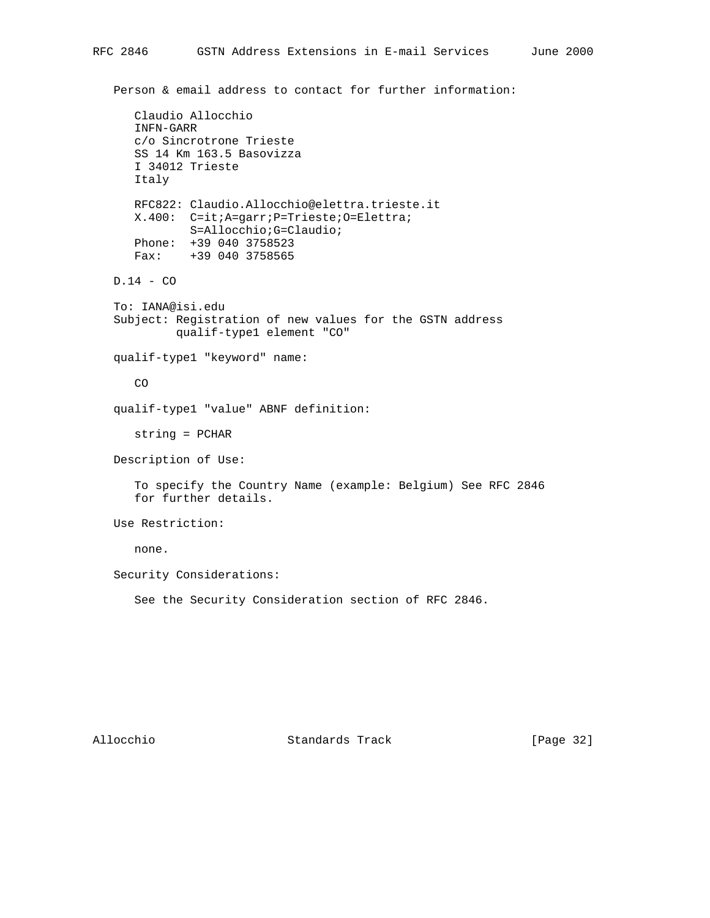```
 Person & email address to contact for further information:
    Claudio Allocchio
    INFN-GARR
    c/o Sincrotrone Trieste
    SS 14 Km 163.5 Basovizza
    I 34012 Trieste
    Italy
    RFC822: Claudio.Allocchio@elettra.trieste.it
    X.400: C=it;A=garr;P=Trieste;O=Elettra;
            S=Allocchio;G=Claudio;
    Phone: +39 040 3758523
    Fax: +39 040 3758565
 D.14 - CO
 To: IANA@isi.edu
 Subject: Registration of new values for the GSTN address
          qualif-type1 element "CO"
 qualif-type1 "keyword" name:
    CO
 qualif-type1 "value" ABNF definition:
    string = PCHAR
 Description of Use:
    To specify the Country Name (example: Belgium) See RFC 2846
    for further details.
 Use Restriction:
    none.
 Security Considerations:
    See the Security Consideration section of RFC 2846.
```
Allocchio Standards Track [Page 32]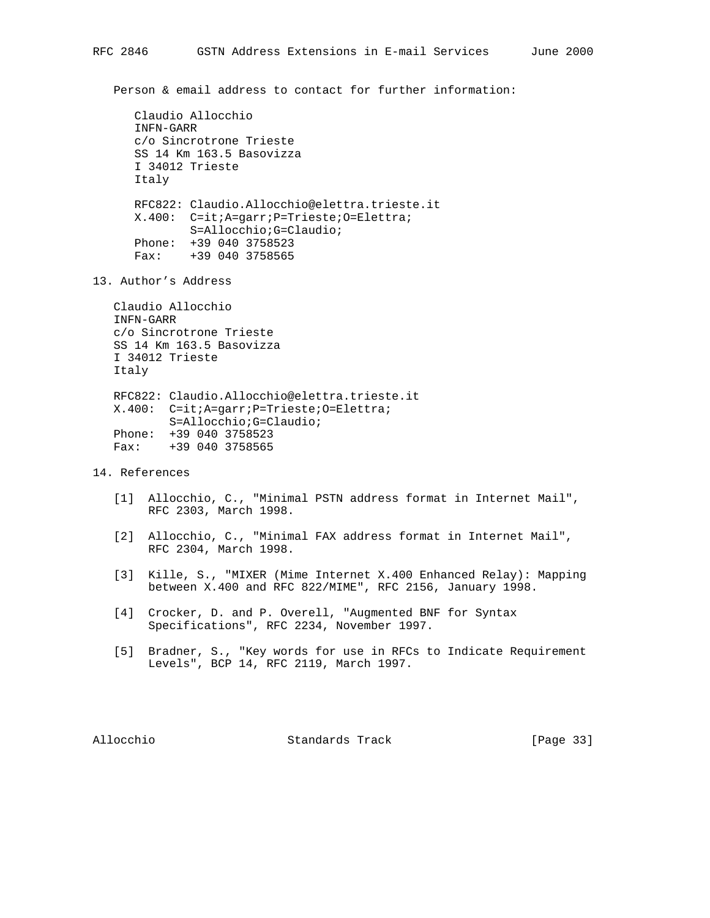```
 Claudio Allocchio
 INFN-GARR
 c/o Sincrotrone Trieste
 SS 14 Km 163.5 Basovizza
 I 34012 Trieste
 Italy
 RFC822: Claudio.Allocchio@elettra.trieste.it
 X.400: C=it;A=garr;P=Trieste;O=Elettra;
        S=Allocchio;G=Claudio;
 Phone: +39 040 3758523
 Fax: +39 040 3758565
```
13. Author's Address

 Claudio Allocchio INFN-GARR c/o Sincrotrone Trieste SS 14 Km 163.5 Basovizza I 34012 Trieste Italy RFC822: Claudio.Allocchio@elettra.trieste.it X.400: C=it;A=garr;P=Trieste;O=Elettra; S=Allocchio;G=Claudio;

Fax: +39 040 3758565

Phone: +39 040 3758523

# 14. References

- [1] Allocchio, C., "Minimal PSTN address format in Internet Mail", RFC 2303, March 1998.
- [2] Allocchio, C., "Minimal FAX address format in Internet Mail", RFC 2304, March 1998.
- [3] Kille, S., "MIXER (Mime Internet X.400 Enhanced Relay): Mapping between X.400 and RFC 822/MIME", RFC 2156, January 1998.
- [4] Crocker, D. and P. Overell, "Augmented BNF for Syntax Specifications", RFC 2234, November 1997.
- [5] Bradner, S., "Key words for use in RFCs to Indicate Requirement Levels", BCP 14, RFC 2119, March 1997.

Allocchio Standards Track [Page 33]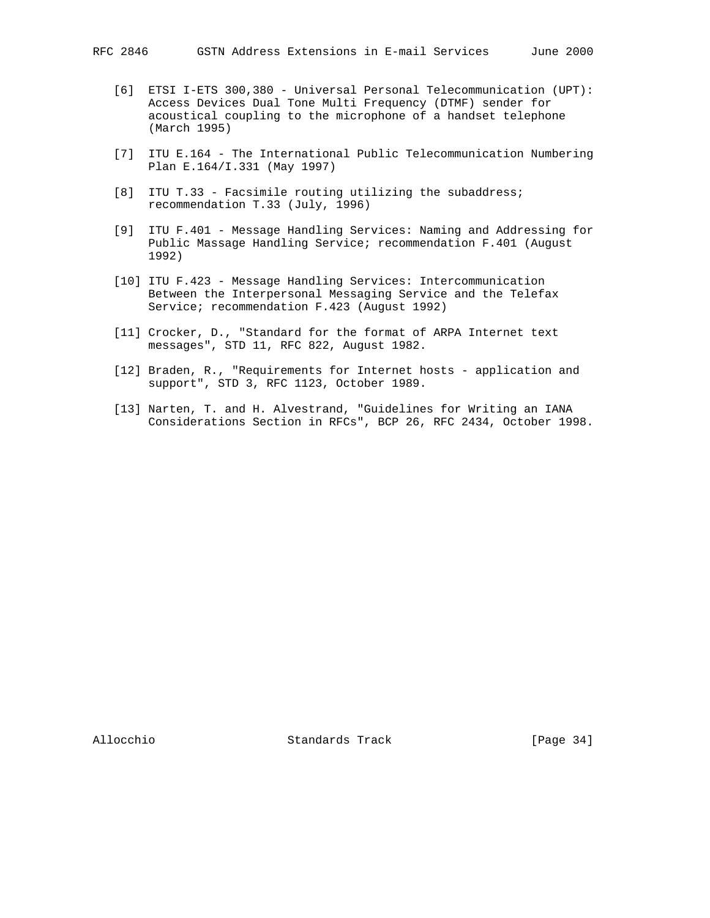- [6] ETSI I-ETS 300,380 Universal Personal Telecommunication (UPT): Access Devices Dual Tone Multi Frequency (DTMF) sender for acoustical coupling to the microphone of a handset telephone (March 1995)
- [7] ITU E.164 The International Public Telecommunication Numbering Plan E.164/I.331 (May 1997)
- [8] ITU T.33 Facsimile routing utilizing the subaddress; recommendation T.33 (July, 1996)
- [9] ITU F.401 Message Handling Services: Naming and Addressing for Public Massage Handling Service; recommendation F.401 (August 1992)
- [10] ITU F.423 Message Handling Services: Intercommunication Between the Interpersonal Messaging Service and the Telefax Service; recommendation F.423 (August 1992)
- [11] Crocker, D., "Standard for the format of ARPA Internet text messages", STD 11, RFC 822, August 1982.
- [12] Braden, R., "Requirements for Internet hosts application and support", STD 3, RFC 1123, October 1989.
- [13] Narten, T. and H. Alvestrand, "Guidelines for Writing an IANA Considerations Section in RFCs", BCP 26, RFC 2434, October 1998.

Allocchio Standards Track [Page 34]